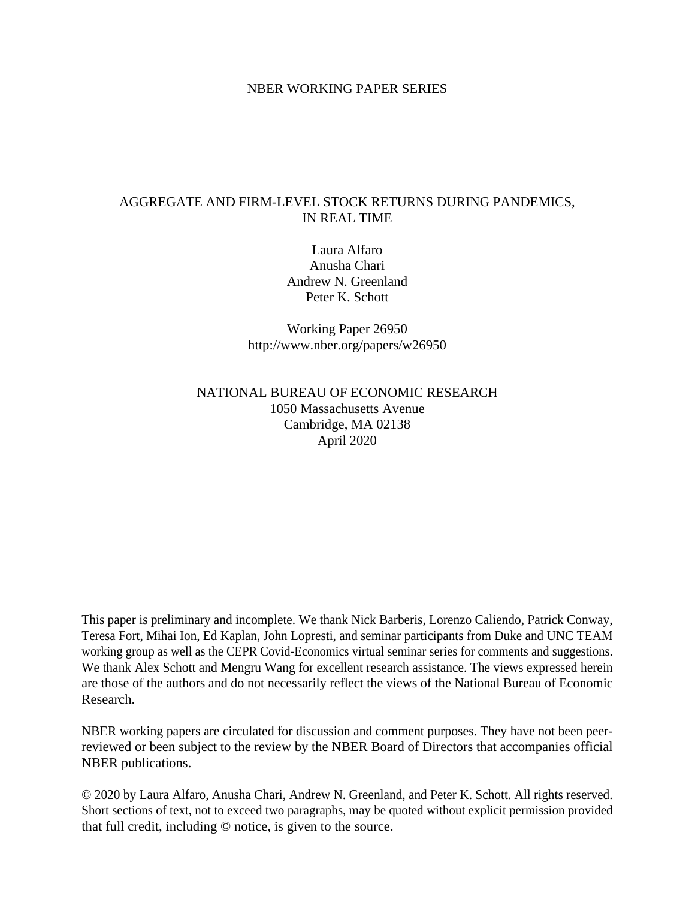### NBER WORKING PAPER SERIES

## AGGREGATE AND FIRM-LEVEL STOCK RETURNS DURING PANDEMICS, IN REAL TIME

Laura Alfaro Anusha Chari Andrew N. Greenland Peter K. Schott

Working Paper 26950 http://www.nber.org/papers/w26950

## NATIONAL BUREAU OF ECONOMIC RESEARCH 1050 Massachusetts Avenue Cambridge, MA 02138 April 2020

This paper is preliminary and incomplete. We thank Nick Barberis, Lorenzo Caliendo, Patrick Conway, Teresa Fort, Mihai Ion, Ed Kaplan, John Lopresti, and seminar participants from Duke and UNC TEAM working group as well as the CEPR Covid-Economics virtual seminar series for comments and suggestions. We thank Alex Schott and Mengru Wang for excellent research assistance. The views expressed herein are those of the authors and do not necessarily reflect the views of the National Bureau of Economic Research.

NBER working papers are circulated for discussion and comment purposes. They have not been peerreviewed or been subject to the review by the NBER Board of Directors that accompanies official NBER publications.

© 2020 by Laura Alfaro, Anusha Chari, Andrew N. Greenland, and Peter K. Schott. All rights reserved. Short sections of text, not to exceed two paragraphs, may be quoted without explicit permission provided that full credit, including © notice, is given to the source.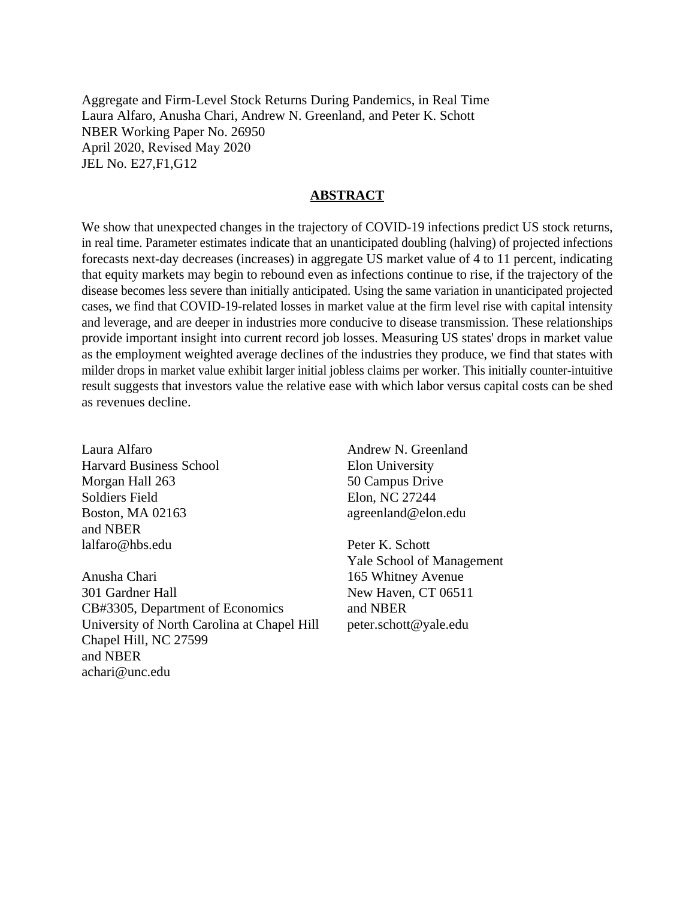Aggregate and Firm-Level Stock Returns During Pandemics, in Real Time Laura Alfaro, Anusha Chari, Andrew N. Greenland, and Peter K. Schott NBER Working Paper No. 26950 April 2020, Revised May 2020 JEL No. E27,F1,G12

### **ABSTRACT**

We show that unexpected changes in the trajectory of COVID-19 infections predict US stock returns, in real time. Parameter estimates indicate that an unanticipated doubling (halving) of projected infections forecasts next-day decreases (increases) in aggregate US market value of 4 to 11 percent, indicating that equity markets may begin to rebound even as infections continue to rise, if the trajectory of the disease becomes less severe than initially anticipated. Using the same variation in unanticipated projected cases, we find that COVID-19-related losses in market value at the firm level rise with capital intensity and leverage, and are deeper in industries more conducive to disease transmission. These relationships provide important insight into current record job losses. Measuring US states' drops in market value as the employment weighted average declines of the industries they produce, we find that states with milder drops in market value exhibit larger initial jobless claims per worker. This initially counter-intuitive result suggests that investors value the relative ease with which labor versus capital costs can be shed as revenues decline.

Laura Alfaro Harvard Business School Morgan Hall 263 Soldiers Field Boston, MA 02163 and NBER lalfaro@hbs.edu

Anusha Chari 301 Gardner Hall CB#3305, Department of Economics University of North Carolina at Chapel Hill Chapel Hill, NC 27599 and NBER achari@unc.edu

Andrew N. Greenland Elon University 50 Campus Drive Elon, NC 27244 agreenland@elon.edu

Peter K. Schott Yale School of Management 165 Whitney Avenue New Haven, CT 06511 and NBER peter.schott@yale.edu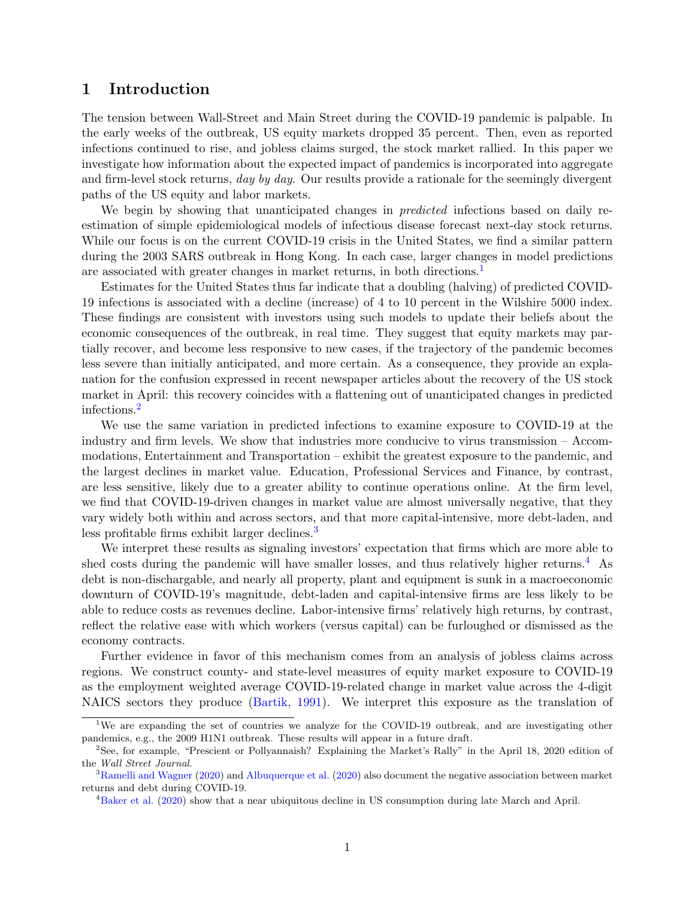## 1 Introduction

The tension between Wall-Street and Main Street during the COVID-19 pandemic is palpable. In the early weeks of the outbreak, US equity markets dropped 35 percent. Then, even as reported infections continued to rise, and jobless claims surged, the stock market rallied. In this paper we investigate how information about the expected impact of pandemics is incorporated into aggregate and firm-level stock returns, day by day. Our results provide a rationale for the seemingly divergent paths of the US equity and labor markets.

We begin by showing that unanticipated changes in *predicted* infections based on daily reestimation of simple epidemiological models of infectious disease forecast next-day stock returns. While our focus is on the current COVID-19 crisis in the United States, we find a similar pattern during the 2003 SARS outbreak in Hong Kong. In each case, larger changes in model predictions are associated with greater changes in market returns, in both directions.<sup>[1](#page-2-0)</sup>

Estimates for the United States thus far indicate that a doubling (halving) of predicted COVID-19 infections is associated with a decline (increase) of 4 to 10 percent in the Wilshire 5000 index. These findings are consistent with investors using such models to update their beliefs about the economic consequences of the outbreak, in real time. They suggest that equity markets may partially recover, and become less responsive to new cases, if the trajectory of the pandemic becomes less severe than initially anticipated, and more certain. As a consequence, they provide an explanation for the confusion expressed in recent newspaper articles about the recovery of the US stock market in April: this recovery coincides with a flattening out of unanticipated changes in predicted infections.[2](#page-2-1)

We use the same variation in predicted infections to examine exposure to COVID-19 at the industry and firm levels. We show that industries more conducive to virus transmission – Accommodations, Entertainment and Transportation – exhibit the greatest exposure to the pandemic, and the largest declines in market value. Education, Professional Services and Finance, by contrast, are less sensitive, likely due to a greater ability to continue operations online. At the firm level, we find that COVID-19-driven changes in market value are almost universally negative, that they vary widely both within and across sectors, and that more capital-intensive, more debt-laden, and less profitable firms exhibit larger declines.<sup>[3](#page-2-2)</sup>

We interpret these results as signaling investors' expectation that firms which are more able to shed costs during the pandemic will have smaller losses, and thus relatively higher returns.<sup>[4](#page-2-3)</sup> As debt is non-dischargable, and nearly all property, plant and equipment is sunk in a macroeconomic downturn of COVID-19's magnitude, debt-laden and capital-intensive firms are less likely to be able to reduce costs as revenues decline. Labor-intensive firms' relatively high returns, by contrast, reflect the relative ease with which workers (versus capital) can be furloughed or dismissed as the economy contracts.

Further evidence in favor of this mechanism comes from an analysis of jobless claims across regions. We construct county- and state-level measures of equity market exposure to COVID-19 as the employment weighted average COVID-19-related change in market value across the 4-digit NAICS sectors they produce [\(Bartik,](#page-26-0) [1991\)](#page-26-0). We interpret this exposure as the translation of

<span id="page-2-0"></span><sup>&</sup>lt;sup>1</sup>We are expanding the set of countries we analyze for the COVID-19 outbreak, and are investigating other pandemics, e.g., the 2009 H1N1 outbreak. These results will appear in a future draft.

<span id="page-2-1"></span><sup>2</sup>See, for example, "Prescient or Pollyannaish? Explaining the Market's Rally" in the April 18, 2020 edition of the Wall Street Journal.

<span id="page-2-2"></span><sup>&</sup>lt;sup>3</sup>[Ramelli and Wagner](#page-27-0) [\(2020\)](#page-26-1) and [Albuquerque et al.](#page-26-1) (2020) also document the negative association between market returns and debt during COVID-19.

<span id="page-2-3"></span><sup>4</sup>[Baker et al.](#page-26-2) [\(2020\)](#page-26-2) show that a near ubiquitous decline in US consumption during late March and April.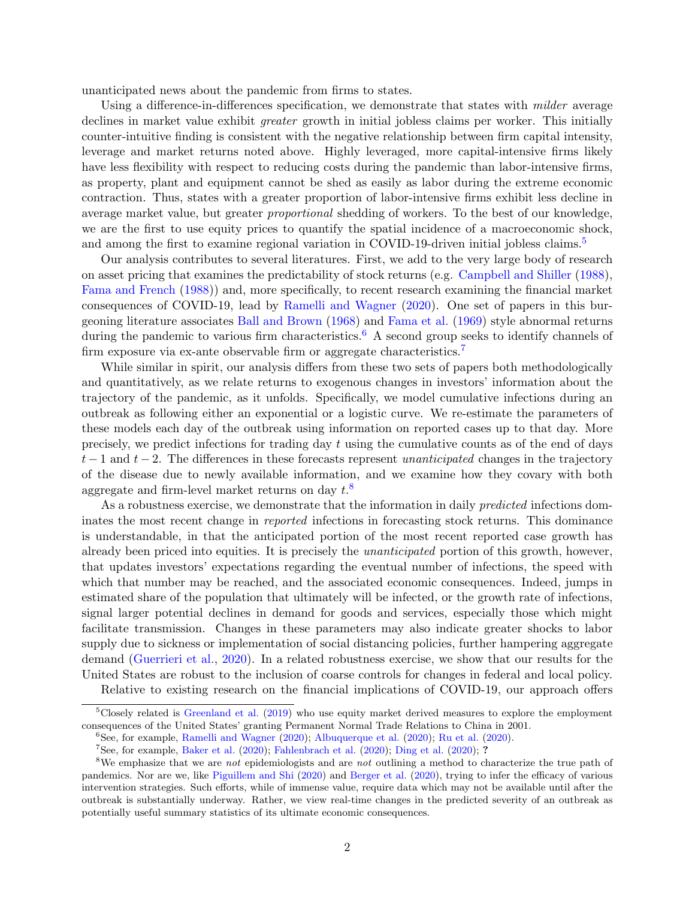unanticipated news about the pandemic from firms to states.

Using a difference-in-differences specification, we demonstrate that states with *milder* average declines in market value exhibit *greater* growth in initial jobless claims per worker. This initially counter-intuitive finding is consistent with the negative relationship between firm capital intensity, leverage and market returns noted above. Highly leveraged, more capital-intensive firms likely have less flexibility with respect to reducing costs during the pandemic than labor-intensive firms, as property, plant and equipment cannot be shed as easily as labor during the extreme economic contraction. Thus, states with a greater proportion of labor-intensive firms exhibit less decline in average market value, but greater proportional shedding of workers. To the best of our knowledge, we are the first to use equity prices to quantify the spatial incidence of a macroeconomic shock, and among the first to examine regional variation in COVID-19-driven initial jobless claims.<sup>[5](#page-3-0)</sup>

Our analysis contributes to several literatures. First, we add to the very large body of research on asset pricing that examines the predictability of stock returns (e.g. [Campbell and Shiller](#page-26-3) [\(1988\)](#page-26-3), [Fama and French](#page-27-1) [\(1988\)](#page-27-1)) and, more specifically, to recent research examining the financial market consequences of COVID-19, lead by [Ramelli and Wagner](#page-27-0) [\(2020\)](#page-27-0). One set of papers in this burgeoning literature associates [Ball and Brown](#page-26-4) [\(1968\)](#page-26-4) and [Fama et al.](#page-27-2) [\(1969\)](#page-27-2) style abnormal returns during the pandemic to various firm characteristics.<sup>[6](#page-3-1)</sup> A second group seeks to identify channels of firm exposure via ex-ante observable firm or aggregate characteristics.<sup>[7](#page-3-2)</sup>

While similar in spirit, our analysis differs from these two sets of papers both methodologically and quantitatively, as we relate returns to exogenous changes in investors' information about the trajectory of the pandemic, as it unfolds. Specifically, we model cumulative infections during an outbreak as following either an exponential or a logistic curve. We re-estimate the parameters of these models each day of the outbreak using information on reported cases up to that day. More precisely, we predict infections for trading day t using the cumulative counts as of the end of days  $t-1$  and  $t-2$ . The differences in these forecasts represent unanticipated changes in the trajectory of the disease due to newly available information, and we examine how they covary with both aggregate and firm-level market returns on day  $t.^8$  $t.^8$ 

As a robustness exercise, we demonstrate that the information in daily predicted infections dominates the most recent change in reported infections in forecasting stock returns. This dominance is understandable, in that the anticipated portion of the most recent reported case growth has already been priced into equities. It is precisely the unanticipated portion of this growth, however, that updates investors' expectations regarding the eventual number of infections, the speed with which that number may be reached, and the associated economic consequences. Indeed, jumps in estimated share of the population that ultimately will be infected, or the growth rate of infections, signal larger potential declines in demand for goods and services, especially those which might facilitate transmission. Changes in these parameters may also indicate greater shocks to labor supply due to sickness or implementation of social distancing policies, further hampering aggregate demand [\(Guerrieri et al.,](#page-27-3) [2020\)](#page-27-3). In a related robustness exercise, we show that our results for the United States are robust to the inclusion of coarse controls for changes in federal and local policy.

<span id="page-3-0"></span>Relative to existing research on the financial implications of COVID-19, our approach offers

 $5C$ losely related is [Greenland et al.](#page-27-4) [\(2019\)](#page-27-4) who use equity market derived measures to explore the employment consequences of the United States' granting Permanent Normal Trade Relations to China in 2001.

<span id="page-3-1"></span> ${}^{6}$ See, for example, [Ramelli and Wagner](#page-27-0) [\(2020\)](#page-28-0); [Albuquerque et al.](#page-26-1) (2020); [Ru et al.](#page-28-0) (2020).

<span id="page-3-3"></span><span id="page-3-2"></span><sup>&</sup>lt;sup>7</sup>See, for example, [Baker et al.](#page-26-5)  $(2020)$ ; [Fahlenbrach et al.](#page-27-5)  $(2020)$ ; [Ding et al.](#page-26-6)  $(2020)$ ; ?

<sup>&</sup>lt;sup>8</sup>We emphasize that we are *not* epidemiologists and are *not* outlining a method to characterize the true path of pandemics. Nor are we, like [Piguillem and Shi](#page-27-6) [\(2020\)](#page-27-6) and [Berger et al.](#page-26-7) [\(2020\)](#page-26-7), trying to infer the efficacy of various intervention strategies. Such efforts, while of immense value, require data which may not be available until after the outbreak is substantially underway. Rather, we view real-time changes in the predicted severity of an outbreak as potentially useful summary statistics of its ultimate economic consequences.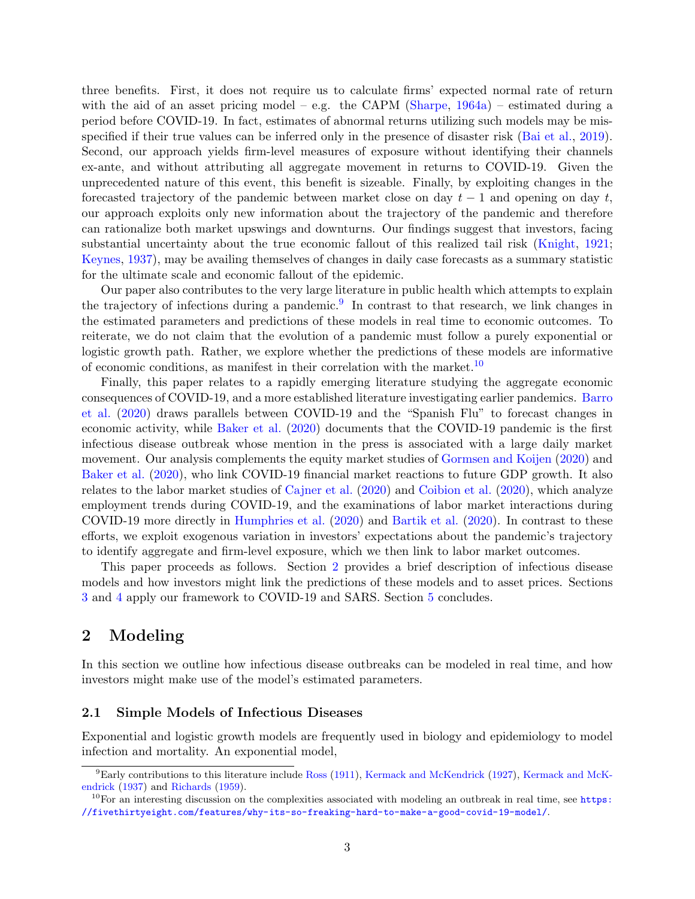three benefits. First, it does not require us to calculate firms' expected normal rate of return with the aid of an asset pricing model – e.g. the CAPM [\(Sharpe,](#page-28-1)  $1964a$ ) – estimated during a period before COVID-19. In fact, estimates of abnormal returns utilizing such models may be misspecified if their true values can be inferred only in the presence of disaster risk [\(Bai et al.,](#page-26-8) [2019\)](#page-26-8). Second, our approach yields firm-level measures of exposure without identifying their channels ex-ante, and without attributing all aggregate movement in returns to COVID-19. Given the unprecedented nature of this event, this benefit is sizeable. Finally, by exploiting changes in the forecasted trajectory of the pandemic between market close on day  $t - 1$  and opening on day t, our approach exploits only new information about the trajectory of the pandemic and therefore can rationalize both market upswings and downturns. Our findings suggest that investors, facing substantial uncertainty about the true economic fallout of this realized tail risk [\(Knight,](#page-27-7) [1921;](#page-27-7) [Keynes,](#page-27-8) [1937\)](#page-27-8), may be availing themselves of changes in daily case forecasts as a summary statistic for the ultimate scale and economic fallout of the epidemic.

Our paper also contributes to the very large literature in public health which attempts to explain the trajectory of infections during a pandemic.<sup>[9](#page-4-0)</sup> In contrast to that research, we link changes in the estimated parameters and predictions of these models in real time to economic outcomes. To reiterate, we do not claim that the evolution of a pandemic must follow a purely exponential or logistic growth path. Rather, we explore whether the predictions of these models are informative of economic conditions, as manifest in their correlation with the market.<sup>[10](#page-4-1)</sup>

Finally, this paper relates to a rapidly emerging literature studying the aggregate economic consequences of COVID-19, and a more established literature investigating earlier pandemics. [Barro](#page-26-9) [et al.](#page-26-9) [\(2020\)](#page-26-9) draws parallels between COVID-19 and the "Spanish Flu" to forecast changes in economic activity, while [Baker et al.](#page-26-5) [\(2020\)](#page-26-5) documents that the COVID-19 pandemic is the first infectious disease outbreak whose mention in the press is associated with a large daily market movement. Our analysis complements the equity market studies of [Gormsen and Koijen](#page-27-9) [\(2020\)](#page-27-9) and [Baker et al.](#page-26-10) [\(2020\)](#page-26-10), who link COVID-19 financial market reactions to future GDP growth. It also relates to the labor market studies of [Cajner et al.](#page-26-11) [\(2020\)](#page-26-11) and [Coibion et al.](#page-26-12) [\(2020\)](#page-26-12), which analyze employment trends during COVID-19, and the examinations of labor market interactions during COVID-19 more directly in [Humphries et al.](#page-27-10) [\(2020\)](#page-27-10) and [Bartik et al.](#page-26-13) [\(2020\)](#page-26-13). In contrast to these efforts, we exploit exogenous variation in investors' expectations about the pandemic's trajectory to identify aggregate and firm-level exposure, which we then link to labor market outcomes.

This paper proceeds as follows. Section [2](#page-4-2) provides a brief description of infectious disease models and how investors might link the predictions of these models and to asset prices. Sections [3](#page-8-0) and [4](#page-22-0) apply our framework to COVID-19 and SARS. Section [5](#page-25-0) concludes.

# <span id="page-4-2"></span>2 Modeling

In this section we outline how infectious disease outbreaks can be modeled in real time, and how investors might make use of the model's estimated parameters.

### <span id="page-4-3"></span>2.1 Simple Models of Infectious Diseases

Exponential and logistic growth models are frequently used in biology and epidemiology to model infection and mortality. An exponential model,

<span id="page-4-0"></span> ${}^{9}$ Early contributions to this literature include [Ross](#page-27-11) [\(1911\)](#page-27-11), [Kermack and McKendrick](#page-27-12) [\(1927\)](#page-27-12), [Kermack and McK](#page-27-13)[endrick](#page-27-13) [\(1937\)](#page-27-13) and [Richards](#page-27-14) [\(1959\)](#page-27-14).

<span id="page-4-1"></span> $10$ For an interesting discussion on the complexities associated with modeling an outbreak in real time, see [https:](https://fivethirtyeight.com/features/why-its-so-freaking-hard-to-make-a-good-covid-19-model/) [//fivethirtyeight.com/features/why-its-so-freaking-hard-to-make-a-good-covid-19-model/](https://fivethirtyeight.com/features/why-its-so-freaking-hard-to-make-a-good-covid-19-model/).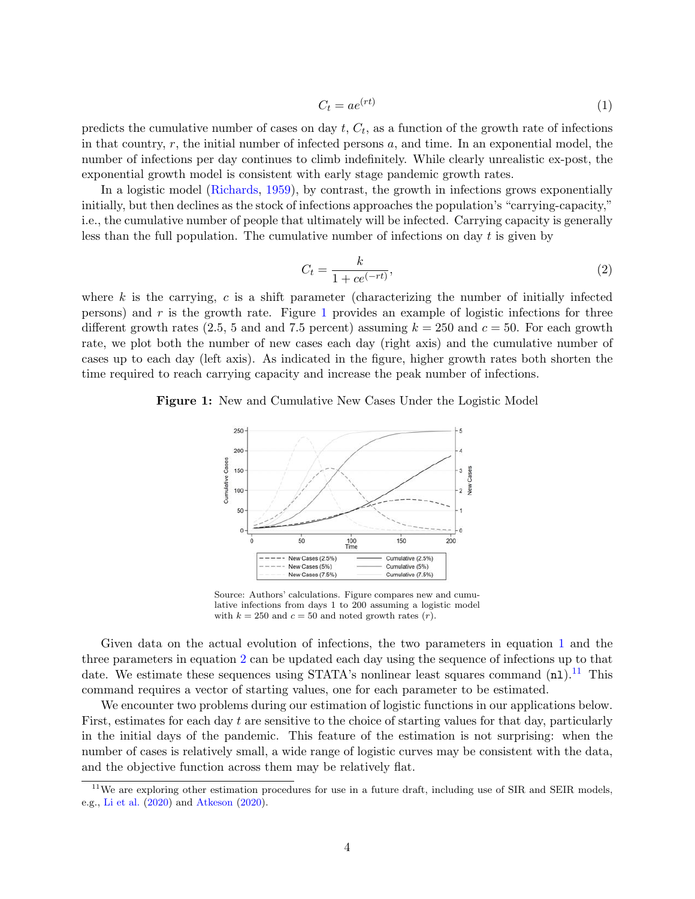<span id="page-5-1"></span>
$$
C_t = ae^{(rt)}\tag{1}
$$

predicts the cumulative number of cases on day  $t, C_t$ , as a function of the growth rate of infections in that country,  $r$ , the initial number of infected persons  $a$ , and time. In an exponential model, the number of infections per day continues to climb indefinitely. While clearly unrealistic ex-post, the exponential growth model is consistent with early stage pandemic growth rates.

In a logistic model [\(Richards,](#page-27-14) [1959\)](#page-27-14), by contrast, the growth in infections grows exponentially initially, but then declines as the stock of infections approaches the population's "carrying-capacity," i.e., the cumulative number of people that ultimately will be infected. Carrying capacity is generally less than the full population. The cumulative number of infections on day  $t$  is given by

<span id="page-5-2"></span>
$$
C_t = \frac{k}{1 + ce^{(-rt)}},\tag{2}
$$

where  $k$  is the carrying,  $c$  is a shift parameter (characterizing the number of initially infected persons) and  $r$  is the growth rate. Figure [1](#page-5-0) provides an example of logistic infections for three different growth rates (2.5, 5 and and 7.5 percent) assuming  $k = 250$  and  $c = 50$ . For each growth rate, we plot both the number of new cases each day (right axis) and the cumulative number of cases up to each day (left axis). As indicated in the figure, higher growth rates both shorten the time required to reach carrying capacity and increase the peak number of infections.

#### <span id="page-5-0"></span>Figure 1: New and Cumulative New Cases Under the Logistic Model



Source: Authors' calculations. Figure compares new and cumulative infections from days 1 to 200 assuming a logistic model with  $k = 250$  and  $c = 50$  and noted growth rates  $(r)$ .

Given data on the actual evolution of infections, the two parameters in equation [1](#page-5-1) and the three parameters in equation [2](#page-5-2) can be updated each day using the sequence of infections up to that date. We estimate these sequences using STATA's nonlinear least squares command  $(nl)$ .<sup>[11](#page-5-3)</sup> This command requires a vector of starting values, one for each parameter to be estimated.

We encounter two problems during our estimation of logistic functions in our applications below. First, estimates for each day  $t$  are sensitive to the choice of starting values for that day, particularly in the initial days of the pandemic. This feature of the estimation is not surprising: when the number of cases is relatively small, a wide range of logistic curves may be consistent with the data, and the objective function across them may be relatively flat.

<span id="page-5-3"></span> $11$ We are exploring other estimation procedures for use in a future draft, including use of SIR and SEIR models, e.g., [Li et al.](#page-27-15) [\(2020\)](#page-27-15) and [Atkeson](#page-26-14) [\(2020\)](#page-26-14).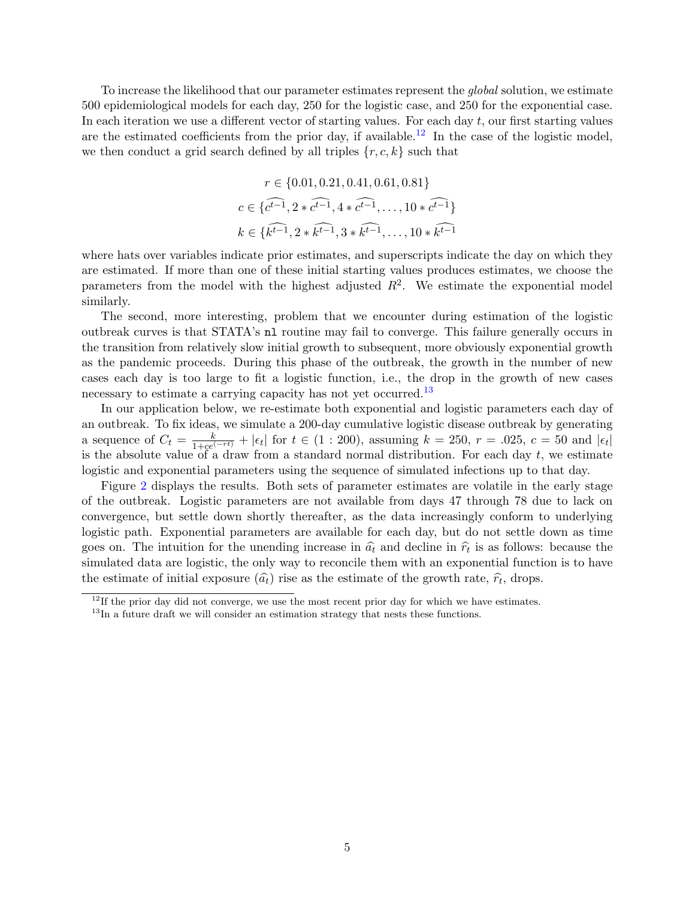To increase the likelihood that our parameter estimates represent the *global* solution, we estimate 500 epidemiological models for each day, 250 for the logistic case, and 250 for the exponential case. In each iteration we use a different vector of starting values. For each day  $t$ , our first starting values are the estimated coefficients from the prior day, if available.<sup>[12](#page-6-0)</sup> In the case of the logistic model, we then conduct a grid search defined by all triples  $\{r, c, k\}$  such that

$$
r \in \{0.01, 0.21, 0.41, 0.61, 0.81\}
$$

$$
c \in \{c^{t-1}, 2 * c^{t-1}, 4 * c^{t-1}, \dots, 10 * c^{t-1}\}
$$

$$
k \in \{\widehat{k^{t-1}}, 2 * \widehat{k^{t-1}}, 3 * \widehat{k^{t-1}}, \dots, 10 * \widehat{k^{t-1}}\}
$$

where hats over variables indicate prior estimates, and superscripts indicate the day on which they are estimated. If more than one of these initial starting values produces estimates, we choose the parameters from the model with the highest adjusted  $R^2$ . We estimate the exponential model similarly.

The second, more interesting, problem that we encounter during estimation of the logistic outbreak curves is that STATA's nl routine may fail to converge. This failure generally occurs in the transition from relatively slow initial growth to subsequent, more obviously exponential growth as the pandemic proceeds. During this phase of the outbreak, the growth in the number of new cases each day is too large to fit a logistic function, i.e., the drop in the growth of new cases necessary to estimate a carrying capacity has not yet occurred.<sup>[13](#page-6-1)</sup>

In our application below, we re-estimate both exponential and logistic parameters each day of an outbreak. To fix ideas, we simulate a 200-day cumulative logistic disease outbreak by generating a sequence of  $C_t = \frac{k}{1+ce^{(-rt)}} + |\epsilon_t|$  for  $t \in (1:200)$ , assuming  $k = 250$ ,  $r = .025$ ,  $c = 50$  and  $|\epsilon_t|$ is the absolute value of a draw from a standard normal distribution. For each day  $t$ , we estimate logistic and exponential parameters using the sequence of simulated infections up to that day.

Figure [2](#page-7-0) displays the results. Both sets of parameter estimates are volatile in the early stage of the outbreak. Logistic parameters are not available from days 47 through 78 due to lack on convergence, but settle down shortly thereafter, as the data increasingly conform to underlying logistic path. Exponential parameters are available for each day, but do not settle down as time goes on. The intuition for the unending increase in  $\hat{a}_t$  and decline in  $\hat{r}_t$  is as follows: because the simulated data are logistic, the only way to reconcile them with an exponential function is to have simulated data are logistic, the only way to reconcile them with an exponential function is to have the estimate of initial exposure  $(\hat{a}_t)$  rise as the estimate of the growth rate,  $\hat{r}_t$ , drops.

<span id="page-6-0"></span> $12$ If the prior day did not converge, we use the most recent prior day for which we have estimates.

<span id="page-6-1"></span><sup>&</sup>lt;sup>13</sup>In a future draft we will consider an estimation strategy that nests these functions.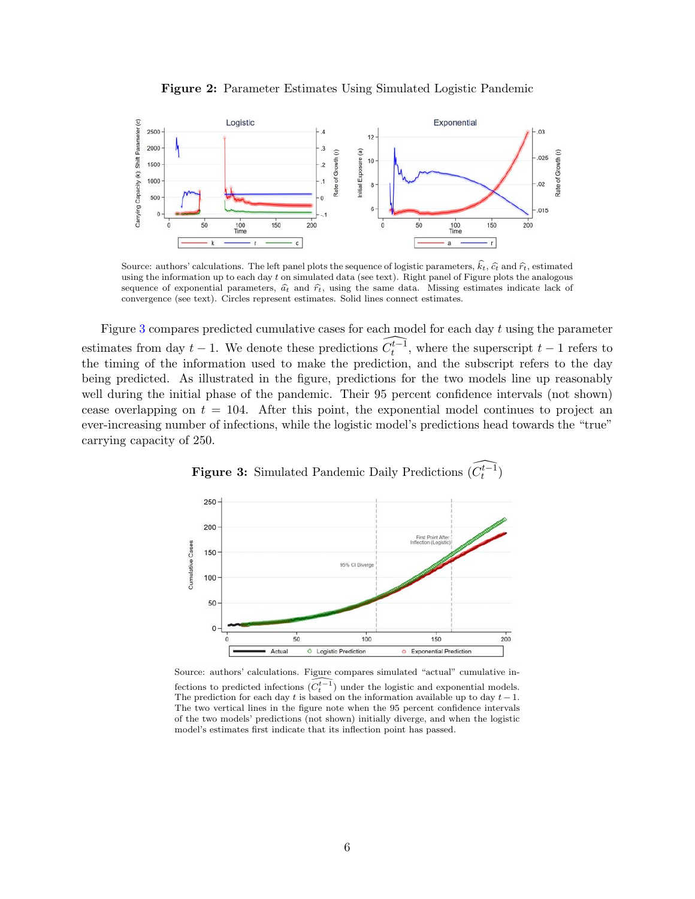

<span id="page-7-0"></span>

Source: authors' calculations. The left panel plots the sequence of logistic parameters,  $\hat{k}_t$ ,  $\hat{\epsilon}_t$  and  $\hat{r}_t$ , estimated using the information up to each day t on simulated data (see text). Right panel of Figure plots the analogous sequence of exponential parameters,  $\hat{a}_t$  and  $\hat{r}_t$ , using the same data. Missing estimates indicate lack of convergence (see text). Circles represent estimates. Solid lines connect estimates.

Figure [3](#page-7-1) compares predicted cumulative cases for each model for each day t using the parameter estimates from day  $t-1$ . We denote these predictions  $\widehat{C_t^{t-1}}$ , where the superscript  $t-1$  refers to the timing of the information used to make the prediction, and the subscript refers to the day being predicted. As illustrated in the figure, predictions for the two models line up reasonably well during the initial phase of the pandemic. Their 95 percent confidence intervals (not shown) cease overlapping on  $t = 104$ . After this point, the exponential model continues to project an ever-increasing number of infections, while the logistic model's predictions head towards the "true" carrying capacity of 250.

<span id="page-7-1"></span>



Source: authors' calculations. Figure compares simulated "actual" cumulative infections to predicted infections  $\widehat{(C_t^{t-1})}$  under the logistic and exponential models. The prediction for each day t is based on the information available up to day  $t - 1$ . The two vertical lines in the figure note when the 95 percent confidence intervals of the two models' predictions (not shown) initially diverge, and when the logistic model's estimates first indicate that its inflection point has passed.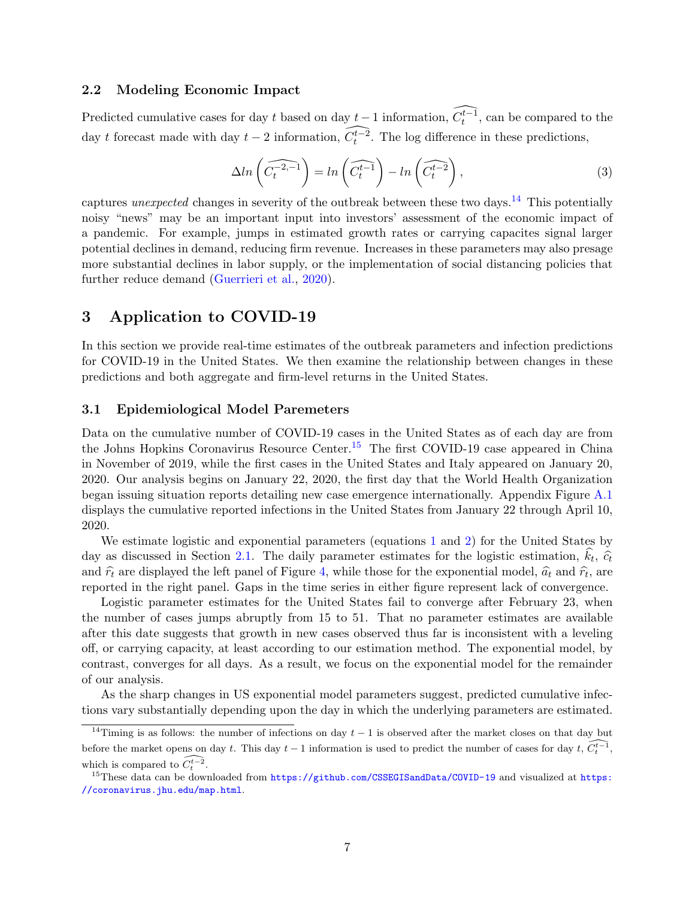### 2.2 Modeling Economic Impact

Predicted cumulative cases for day t based on day  $t-1$  information,  $\widehat{C_t^{t-1}}$ , can be compared to the day t forecast made with day  $t-2$  information,  $\widehat{C_t^{t-2}}$ . The log difference in these predictions,

$$
\Delta ln\left(\widehat{C_t^{-2,-1}}\right) = ln\left(\widehat{C_t^{t-1}}\right) - ln\left(\widehat{C_t^{t-2}}\right),\tag{3}
$$

captures *unexpected* changes in severity of the outbreak between these two days.<sup>[14](#page-8-1)</sup> This potentially noisy "news" may be an important input into investors' assessment of the economic impact of a pandemic. For example, jumps in estimated growth rates or carrying capacites signal larger potential declines in demand, reducing firm revenue. Increases in these parameters may also presage more substantial declines in labor supply, or the implementation of social distancing policies that further reduce demand [\(Guerrieri et al.,](#page-27-3) [2020\)](#page-27-3).

## <span id="page-8-0"></span>3 Application to COVID-19

In this section we provide real-time estimates of the outbreak parameters and infection predictions for COVID-19 in the United States. We then examine the relationship between changes in these predictions and both aggregate and firm-level returns in the United States.

#### 3.1 Epidemiological Model Paremeters

Data on the cumulative number of COVID-19 cases in the United States as of each day are from the Johns Hopkins Coronavirus Resource Center.<sup>[15](#page-8-2)</sup> The first COVID-19 case appeared in China in November of 2019, while the first cases in the United States and Italy appeared on January 20, 2020. Our analysis begins on January 22, 2020, the first day that the World Health Organization began issuing situation reports detailing new case emergence internationally. Appendix Figure [A.1](#page-29-0) displays the cumulative reported infections in the United States from January 22 through April 10, 2020.

We estimate logistic and exponential parameters (equations [1](#page-5-1) and [2\)](#page-5-2) for the United States by day as discussed in Section [2.1.](#page-4-3) The daily parameter estimates for the logistic estimation,  $k_t$ ,  $\hat{c}_t$ and  $\hat{r}_t$  are displayed the left panel of Figure [4,](#page-9-0) while those for the exponential model,  $\hat{a}_t$  and  $\hat{r}_t$ , are represented in the right panel. Cans in the time series in either figure represent legis of converge reported in the right panel. Gaps in the time series in either figure represent lack of convergence.

Logistic parameter estimates for the United States fail to converge after February 23, when the number of cases jumps abruptly from 15 to 51. That no parameter estimates are available after this date suggests that growth in new cases observed thus far is inconsistent with a leveling off, or carrying capacity, at least according to our estimation method. The exponential model, by contrast, converges for all days. As a result, we focus on the exponential model for the remainder of our analysis.

As the sharp changes in US exponential model parameters suggest, predicted cumulative infections vary substantially depending upon the day in which the underlying parameters are estimated.

<span id="page-8-1"></span><sup>&</sup>lt;sup>14</sup>Timing is as follows: the number of infections on day  $t-1$  is observed after the market closes on that day but before the market opens on day t. This day  $t-1$  information is used to predict the number of cases for day t,  $\widehat{C_t^{t-1}}$ , which is compared to  $\widehat{C_t^{t-2}}$ .

<span id="page-8-2"></span> $^{15}$ These data can be downloaded from  $https://github.com/CSSEGIsandData/COVID-19$  $https://github.com/CSSEGIsandData/COVID-19$  and visualized at https: [//coronavirus.jhu.edu/map.html](https://coronavirus.jhu.edu/map.html).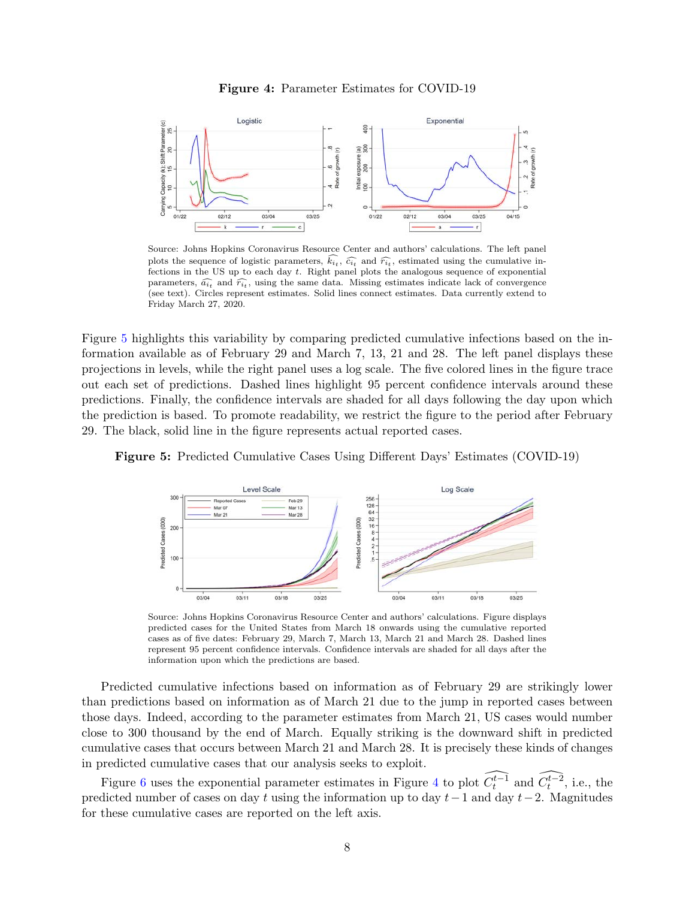

<span id="page-9-0"></span>

Source: Johns Hopkins Coronavirus Resource Center and authors' calculations. The left panel plots the sequence of logistic parameters,  $k_{it}$ ,  $\hat{c}_{it}$  and  $\hat{r}_{it}$ , estimated using the cumulative in-<br>fections in the US up to each day t. Bight panel plots the analogous sequence of exponential fections in the US up to each day t. Right panel plots the analogous sequence of exponential parameters,  $\widehat{a}_{it}$  and  $\widehat{r}_{it}$ , using the same data. Missing estimates indicate lack of convergence (see text). Circles represent estimates. Solid lines connect estimates. Data currently extend to Friday March 27, 2020.

Figure [5](#page-9-1) highlights this variability by comparing predicted cumulative infections based on the information available as of February 29 and March 7, 13, 21 and 28. The left panel displays these projections in levels, while the right panel uses a log scale. The five colored lines in the figure trace out each set of predictions. Dashed lines highlight 95 percent confidence intervals around these predictions. Finally, the confidence intervals are shaded for all days following the day upon which the prediction is based. To promote readability, we restrict the figure to the period after February 29. The black, solid line in the figure represents actual reported cases.

<span id="page-9-1"></span>



Source: Johns Hopkins Coronavirus Resource Center and authors' calculations. Figure displays predicted cases for the United States from March 18 onwards using the cumulative reported cases as of five dates: February 29, March 7, March 13, March 21 and March 28. Dashed lines represent 95 percent confidence intervals. Confidence intervals are shaded for all days after the information upon which the predictions are based.

Predicted cumulative infections based on information as of February 29 are strikingly lower than predictions based on information as of March 21 due to the jump in reported cases between those days. Indeed, according to the parameter estimates from March 21, US cases would number close to 300 thousand by the end of March. Equally striking is the downward shift in predicted cumulative cases that occurs between March 21 and March 28. It is precisely these kinds of changes in predicted cumulative cases that our analysis seeks to exploit.

Figure [6](#page-10-0) uses the exponential parameter estimates in Figure [4](#page-9-0) to plot  $\widehat{C_t^{t-1}}$  and  $\widehat{C_t^{t-2}}$ , i.e., the predicted number of cases on day t using the information up to day  $t-1$  and day  $t-2$ . Magnitudes for these cumulative cases are reported on the left axis.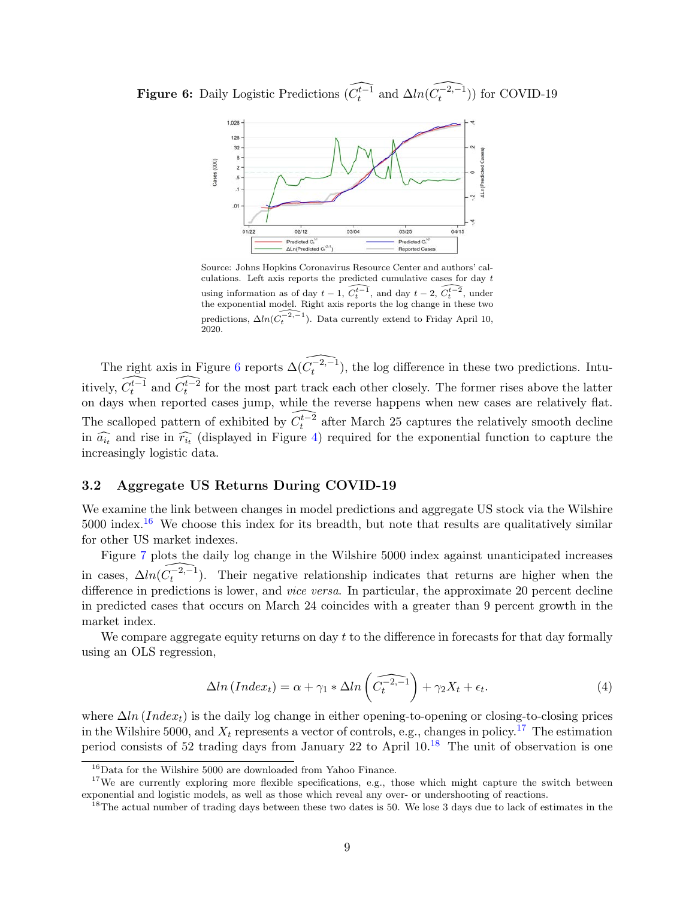<span id="page-10-0"></span>**Figure 6:** Daily Logistic Predictions  $\widehat{(C_t^{t-1})}$  and  $\Delta ln(\widehat{C_t^{-2,-1}})$  for COVID-19



Source: Johns Hopkins Coronavirus Resource Center and authors' calculations. Left axis reports the predicted cumulative cases for day  $t$ using information as of day  $t - 1$ ,  $\widehat{C_t^{t-1}}$ , and day  $t - 2$ ,  $\widehat{C_t^{t-2}}$ , under the exponential model. Right axis reports the log change in these two predictions,  $\Delta ln(\widehat{C_t^{-2,-1}})$ . Data currently extend to Friday April 10, 2020.

The right axis in Figure [6](#page-10-0) reports  $\widehat{\Delta(C_t^{-2,-1})}$ , the log difference in these two predictions. Intuitively,  $\widehat{C_t^{t-1}}$  and  $\widehat{C_t^{t-2}}$  for the most part track each other closely. The former rises above the latter on days when reported cases jump, while the reverse happens when new cases are relatively flat. The scalloped pattern of exhibited by  $\widehat{C_t^{t-2}}$  after March 25 captures the relatively smooth decline in  $\widehat{a_{it}}$  and rise in  $\widehat{r_{it}}$  (displayed in Figure [4\)](#page-9-0) required for the exponential function to capture the increasingly logistic data increasingly logistic data.

### 3.2 Aggregate US Returns During COVID-19

We examine the link between changes in model predictions and aggregate US stock via the Wilshire  $5000$  index.<sup>[16](#page-10-1)</sup> We choose this index for its breadth, but note that results are qualitatively similar for other US market indexes.

Figure [7](#page-11-0) plots the daily log change in the Wilshire 5000 index against unanticipated increases in cases,  $\Delta ln(\widehat{C_t^{-2,-1}})$ . Their negative relationship indicates that returns are higher when the difference in predictions is lower, and *vice versa*. In particular, the approximate 20 percent decline in predicted cases that occurs on March 24 coincides with a greater than 9 percent growth in the market index.

We compare aggregate equity returns on day t to the difference in forecasts for that day formally using an OLS regression,

<span id="page-10-4"></span>
$$
\Delta \ln(\text{Index}_t) = \alpha + \gamma_1 * \Delta \ln\left(\widehat{C_t^{-2,-1}}\right) + \gamma_2 X_t + \epsilon_t. \tag{4}
$$

where  $\Delta ln (Index_t)$  is the daily log change in either opening-to-opening or closing-to-closing prices in the Wilshire 5000, and  $X_t$  represents a vector of controls, e.g., changes in policy.<sup>[17](#page-10-2)</sup> The estimation period consists of 52 trading days from January 22 to April 10.[18](#page-10-3) The unit of observation is one

<span id="page-10-2"></span><span id="page-10-1"></span><sup>16</sup>Data for the Wilshire 5000 are downloaded from Yahoo Finance.

<sup>&</sup>lt;sup>17</sup>We are currently exploring more flexible specifications, e.g., those which might capture the switch between exponential and logistic models, as well as those which reveal any over- or undershooting of reactions.

<span id="page-10-3"></span><sup>&</sup>lt;sup>18</sup>The actual number of trading days between these two dates is 50. We lose 3 days due to lack of estimates in the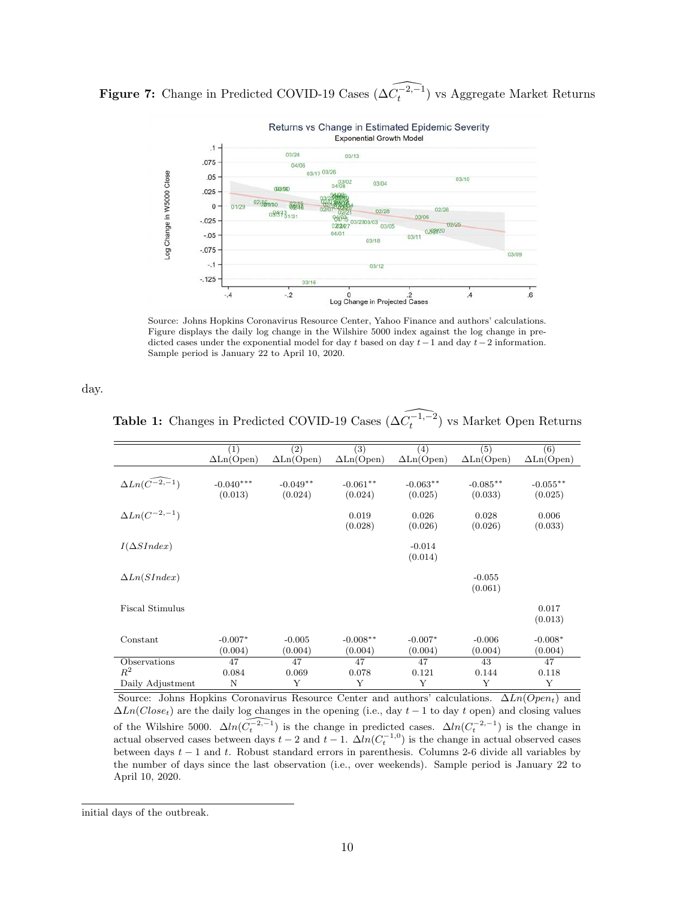<span id="page-11-0"></span>**Figure 7:** Change in Predicted COVID-19 Cases  $(\widehat{\Delta C_t^{-2,-1}})$  vs Aggregate Market Returns



Source: Johns Hopkins Coronavirus Resource Center, Yahoo Finance and authors' calculations. Figure displays the daily log change in the Wilshire 5000 index against the log change in predicted cases under the exponential model for day t based on day  $t-1$  and day  $t-2$  information. Sample period is January 22 to April 10, 2020.

<span id="page-11-1"></span>day.

**Table 1:** Changes in Predicted COVID-19 Cases  $(\widehat{\Delta C_t^{-1,-2}})$  vs Market Open Returns

|                                  | $\left(1\right)$                | (2)               | (3)                             | (4)               | (5)                             | (6)                             |
|----------------------------------|---------------------------------|-------------------|---------------------------------|-------------------|---------------------------------|---------------------------------|
|                                  | $\Delta \text{Ln}(\text{Open})$ | $\Delta$ Ln(Open) | $\Delta \text{Ln}(\text{Open})$ | $\Delta$ Ln(Open) | $\Delta \text{Ln}(\text{Open})$ | $\Delta \text{Ln}(\text{Open})$ |
|                                  |                                 |                   |                                 |                   |                                 |                                 |
| $\Delta Ln(\widehat{C^{-2,-1}})$ | $-0.040***$                     | $-0.049**$        | $-0.061**$                      | $-0.063**$        | $-0.085**$                      | $-0.055**$                      |
|                                  | (0.013)                         | (0.024)           | (0.024)                         | (0.025)           | (0.033)                         | (0.025)                         |
|                                  |                                 |                   |                                 |                   |                                 |                                 |
| $\Delta Ln(C^{-2,-1})$           |                                 |                   | 0.019                           | 0.026             | 0.028                           | 0.006                           |
|                                  |                                 |                   | (0.028)                         | (0.026)           | (0.026)                         | (0.033)                         |
| $I(\Delta SI$ ndex               |                                 |                   |                                 | $-0.014$          |                                 |                                 |
|                                  |                                 |                   |                                 | (0.014)           |                                 |                                 |
|                                  |                                 |                   |                                 |                   |                                 |                                 |
| $\Delta Ln(SIndex)$              |                                 |                   |                                 |                   | $-0.055$                        |                                 |
|                                  |                                 |                   |                                 |                   | (0.061)                         |                                 |
| <b>Fiscal Stimulus</b>           |                                 |                   |                                 |                   |                                 |                                 |
|                                  |                                 |                   |                                 |                   |                                 | 0.017                           |
|                                  |                                 |                   |                                 |                   |                                 | (0.013)                         |
| Constant                         | $-0.007*$                       | $-0.005$          | $-0.008**$                      | $-0.007*$         | $-0.006$                        | $-0.008*$                       |
|                                  | (0.004)                         | (0.004)           | (0.004)                         | (0.004)           | (0.004)                         | (0.004)                         |
| Observations                     | 47                              | 47                | 47                              | 47                | 43                              | 47                              |
| $R^2$                            | 0.084                           | 0.069             | 0.078                           | 0.121             | 0.144                           | 0.118                           |
| Daily Adjustment                 | N                               | Y                 | Υ                               | Y                 | Υ                               | Y                               |

Source: Johns Hopkins Coronavirus Resource Center and authors' calculations.  $\Delta Ln(Open_t)$  and  $\Delta Ln(Close_t)$  are the daily log changes in the opening (i.e., day  $t-1$  to day t open) and closing values of the Wilshire 5000.  $\Delta ln(\widehat{C_t^{-2,-1}})$  is the change in predicted cases.  $\Delta ln(C_t^{-2,-1})$  is the change in actual observed cases between days  $t-2$  and  $t-1$ .  $\Delta ln(C_t^{-1,0})$  is the change in actual observed cases between days  $t - 1$  and t. Robust standard errors in parenthesis. Columns 2-6 divide all variables by the number of days since the last observation (i.e., over weekends). Sample period is January 22 to April 10, 2020.

initial days of the outbreak.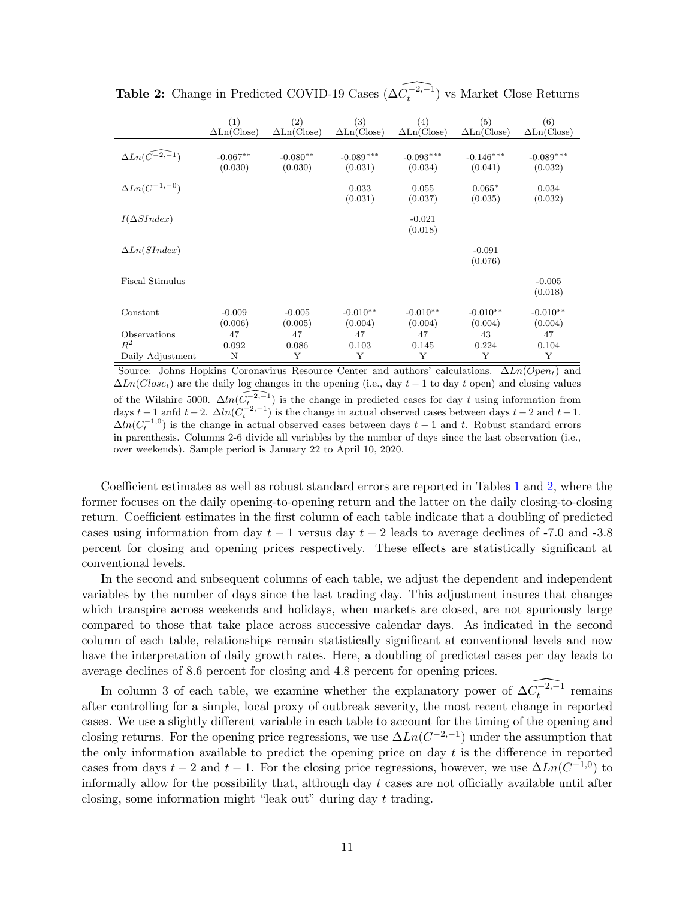|                                  | (1)                              | $\left( 2\right)$                | $\overline{(3)}$                 | (4)                              | (5)                              | $\overline{(6)}$                 |
|----------------------------------|----------------------------------|----------------------------------|----------------------------------|----------------------------------|----------------------------------|----------------------------------|
|                                  | $\Delta \text{Ln}(\text{Close})$ | $\Delta \text{Ln}(\text{Close})$ | $\Delta \text{Ln}(\text{Close})$ | $\Delta \text{Ln}(\text{Close})$ | $\Delta \text{Ln}(\text{Close})$ | $\Delta \text{Ln}(\text{Close})$ |
|                                  |                                  |                                  |                                  |                                  |                                  |                                  |
| $\Delta Ln(\widehat{C^{-2,-1}})$ | $-0.067**$                       | $-0.080**$                       | $-0.089***$                      | $-0.093***$                      | $-0.146***$                      | $-0.089***$                      |
|                                  | (0.030)                          | (0.030)                          | (0.031)                          | (0.034)                          | (0.041)                          | (0.032)                          |
|                                  |                                  |                                  |                                  |                                  |                                  |                                  |
| $\Delta Ln(C^{-1,-0})$           |                                  |                                  | 0.033                            | 0.055                            | $0.065*$                         | 0.034                            |
|                                  |                                  |                                  | (0.031)                          | (0.037)                          | (0.035)                          | (0.032)                          |
| $I(\Delta SI ndex)$              |                                  |                                  |                                  | $-0.021$                         |                                  |                                  |
|                                  |                                  |                                  |                                  |                                  |                                  |                                  |
|                                  |                                  |                                  |                                  | (0.018)                          |                                  |                                  |
| $\Delta Ln(SIndex)$              |                                  |                                  |                                  |                                  | $-0.091$                         |                                  |
|                                  |                                  |                                  |                                  |                                  | (0.076)                          |                                  |
|                                  |                                  |                                  |                                  |                                  |                                  |                                  |
| <b>Fiscal Stimulus</b>           |                                  |                                  |                                  |                                  |                                  | $-0.005$                         |
|                                  |                                  |                                  |                                  |                                  |                                  | (0.018)                          |
|                                  |                                  |                                  |                                  |                                  |                                  |                                  |
| Constant                         | $-0.009$                         | $-0.005$                         | $-0.010**$                       | $-0.010**$                       | $-0.010**$                       | $-0.010**$                       |
|                                  | (0.006)                          | (0.005)                          | (0.004)                          | (0.004)                          | (0.004)                          | (0.004)                          |
| Observations                     | 47                               | 47                               | 47                               | 47                               | 43                               | 47                               |
| $R^2$                            | 0.092                            | 0.086                            | 0.103                            | 0.145                            | 0.224                            | 0.104                            |
| Daily Adjustment                 | N                                | Υ                                | Υ                                | Υ                                | Υ                                | Y                                |

<span id="page-12-0"></span>Table 2: Change in Predicted COVID-19 Cases  $(\widehat{\Delta C_t^{-2,-1}})$  vs Market Close Returns

Source: Johns Hopkins Coronavirus Resource Center and authors' calculations.  $\Delta Ln(Open_t)$  and  $\Delta Ln(Close_t)$  are the daily log changes in the opening (i.e., day  $t - 1$  to day t open) and closing values of the Wilshire 5000.  $\Delta ln(\widehat{C_t^{-2,-1}})$  is the change in predicted cases for day t using information from days  $t-1$  anfd  $t-2$ .  $\Delta ln(C_t^{-2,-1})$  is the change in actual observed cases between days  $t-2$  and  $t-1$ .  $\Delta ln(C_t^{-1,0})$  is the change in actual observed cases between days  $t-1$  and t. Robust standard errors in parenthesis. Columns 2-6 divide all variables by the number of days since the last observation (i.e., over weekends). Sample period is January 22 to April 10, 2020.

Coefficient estimates as well as robust standard errors are reported in Tables [1](#page-11-1) and [2,](#page-12-0) where the former focuses on the daily opening-to-opening return and the latter on the daily closing-to-closing return. Coefficient estimates in the first column of each table indicate that a doubling of predicted cases using information from day  $t - 1$  versus day  $t - 2$  leads to average declines of -7.0 and -3.8 percent for closing and opening prices respectively. These effects are statistically significant at conventional levels.

In the second and subsequent columns of each table, we adjust the dependent and independent variables by the number of days since the last trading day. This adjustment insures that changes which transpire across weekends and holidays, when markets are closed, are not spuriously large compared to those that take place across successive calendar days. As indicated in the second column of each table, relationships remain statistically significant at conventional levels and now have the interpretation of daily growth rates. Here, a doubling of predicted cases per day leads to average declines of 8.6 percent for closing and 4.8 percent for opening prices.

In column 3 of each table, we examine whether the explanatory power of  $\widehat{\Delta C_t^{-2,-1}}$  remains after controlling for a simple, local proxy of outbreak severity, the most recent change in reported cases. We use a slightly different variable in each table to account for the timing of the opening and closing returns. For the opening price regressions, we use  $\Delta Ln(C^{-2,-1})$  under the assumption that the only information available to predict the opening price on day  $t$  is the difference in reported cases from days  $t-2$  and  $t-1$ . For the closing price regressions, however, we use  $\Delta Ln(C^{-1,0})$  to informally allow for the possibility that, although day  $t$  cases are not officially available until after closing, some information might "leak out" during day t trading.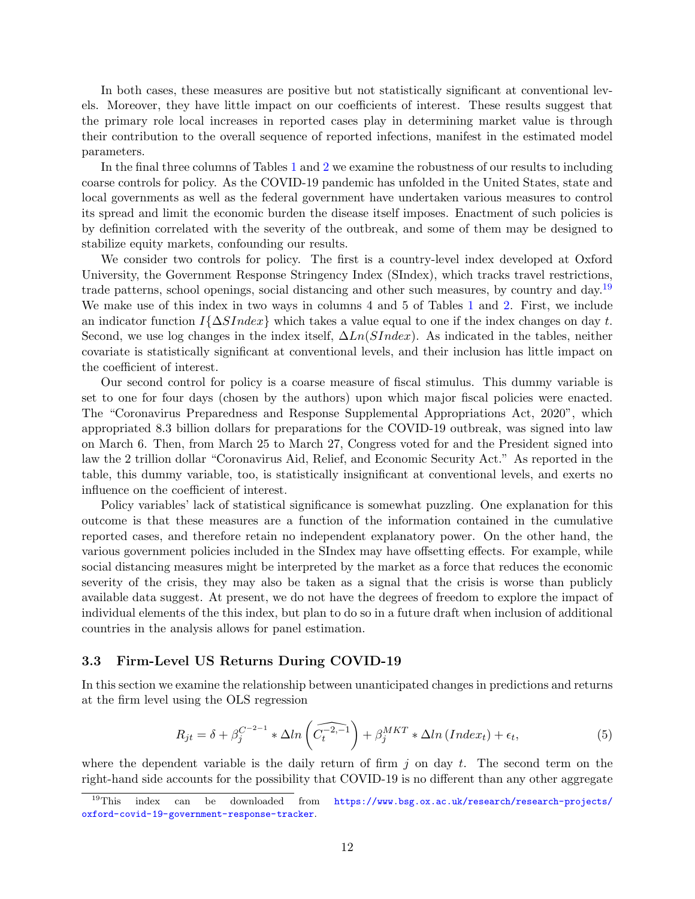In both cases, these measures are positive but not statistically significant at conventional levels. Moreover, they have little impact on our coefficients of interest. These results suggest that the primary role local increases in reported cases play in determining market value is through their contribution to the overall sequence of reported infections, manifest in the estimated model parameters.

In the final three columns of Tables [1](#page-11-1) and [2](#page-12-0) we examine the robustness of our results to including coarse controls for policy. As the COVID-19 pandemic has unfolded in the United States, state and local governments as well as the federal government have undertaken various measures to control its spread and limit the economic burden the disease itself imposes. Enactment of such policies is by definition correlated with the severity of the outbreak, and some of them may be designed to stabilize equity markets, confounding our results.

We consider two controls for policy. The first is a country-level index developed at Oxford University, the Government Response Stringency Index (SIndex), which tracks travel restrictions, trade patterns, school openings, social distancing and other such measures, by country and day.[19](#page-13-0) We make use of this index in two ways in columns 4 and 5 of Tables [1](#page-11-1) and [2.](#page-12-0) First, we include an indicator function  $I\{\Delta SIndex\}$  which takes a value equal to one if the index changes on day t. Second, we use log changes in the index itself,  $\Delta Ln(SIndex)$ . As indicated in the tables, neither covariate is statistically significant at conventional levels, and their inclusion has little impact on the coefficient of interest.

Our second control for policy is a coarse measure of fiscal stimulus. This dummy variable is set to one for four days (chosen by the authors) upon which major fiscal policies were enacted. The "Coronavirus Preparedness and Response Supplemental Appropriations Act, 2020", which appropriated 8.3 billion dollars for preparations for the COVID-19 outbreak, was signed into law on March 6. Then, from March 25 to March 27, Congress voted for and the President signed into law the 2 trillion dollar "Coronavirus Aid, Relief, and Economic Security Act." As reported in the table, this dummy variable, too, is statistically insignificant at conventional levels, and exerts no influence on the coefficient of interest.

Policy variables' lack of statistical significance is somewhat puzzling. One explanation for this outcome is that these measures are a function of the information contained in the cumulative reported cases, and therefore retain no independent explanatory power. On the other hand, the various government policies included in the SIndex may have offsetting effects. For example, while social distancing measures might be interpreted by the market as a force that reduces the economic severity of the crisis, they may also be taken as a signal that the crisis is worse than publicly available data suggest. At present, we do not have the degrees of freedom to explore the impact of individual elements of the this index, but plan to do so in a future draft when inclusion of additional countries in the analysis allows for panel estimation.

### 3.3 Firm-Level US Returns During COVID-19

In this section we examine the relationship between unanticipated changes in predictions and returns at the firm level using the OLS regression

<span id="page-13-1"></span>
$$
R_{jt} = \delta + \beta_j^{C^{-2-1}} * \Delta ln\left(\widehat{C_t^{-2,-1}}\right) + \beta_j^{MKT} * \Delta ln\left(Index_t\right) + \epsilon_t,
$$
\n(5)

where the dependent variable is the daily return of firm  $j$  on day  $t$ . The second term on the right-hand side accounts for the possibility that COVID-19 is no different than any other aggregate

<span id="page-13-0"></span> $19$ This index can be downloaded from  $https://www.bsg.ox.ac.uk/research/research-projects/$ [oxford-covid-19-government-response-tracker](https://www.bsg.ox.ac.uk/research/research-projects/oxford-covid-19-government-response-tracker).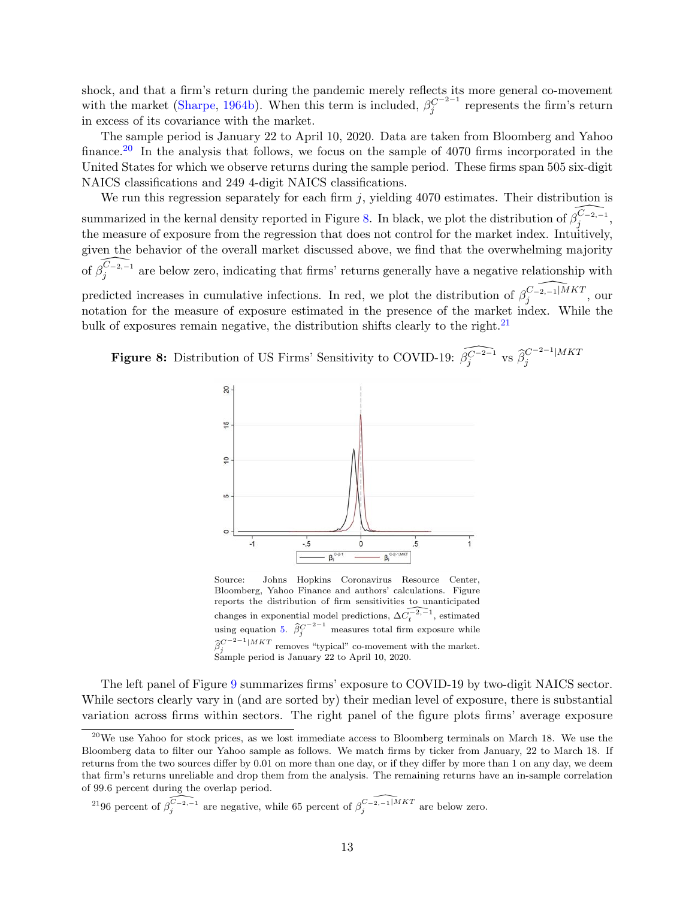shock, and that a firm's return during the pandemic merely reflects its more general co-movement with the market [\(Sharpe,](#page-28-2) [1964b\)](#page-28-2). When this term is included,  $\beta_j^{C^{-2-1}}$  represents the firm's return in excess of its covariance with the market.

The sample period is January 22 to April 10, 2020. Data are taken from Bloomberg and Yahoo finance.<sup>[20](#page-14-0)</sup> In the analysis that follows, we focus on the sample of 4070 firms incorporated in the United States for which we observe returns during the sample period. These firms span 505 six-digit NAICS classifications and 249 4-digit NAICS classifications.

We run this regression separately for each firm  $j$ , yielding 4070 estimates. Their distribution is summarized in the kernal density reported in Figure [8.](#page-14-1) In black, we plot the distribution of  $\widehat{\beta_j^{C_{-2,-1}}}$ , the measure of exposure from the regression that does not control for the market index. Intuitively, given the behavior of the overall market discussed above, we find that the overwhelming majority of  $\widehat{\beta_j^{C_{-2,-1}}}$  are below zero, indicating that firms' returns generally have a negative relationship with predicted increases in cumulative infections. In red, we plot the distribution of  $\widehat{\beta}_{i}^{C_{-2,-1}|MKT}$  $j^{(U-2,-1)^{M}}$ , our notation for the measure of exposure estimated in the presence of the market index. While the bulk of exposures remain negative, the distribution shifts clearly to the right.<sup>[21](#page-14-2)</sup>

<span id="page-14-1"></span>**Figure 8:** Distribution of US Firms' Sensitivity to COVID-19:  $\widehat{\beta_j^{C^{-2-1}}}$  vs  $\widehat{\beta_j^{C^{-2-1}}}|MKT$ j



Source: Johns Hopkins Coronavirus Resource Center, Bloomberg, Yahoo Finance and authors' calculations. Figure reports the distribution of firm sensitivities to unanticipated changes in exponential model predictions,  $\widehat{\Delta C_t^{-2,-1}}$ , estimated using equation [5.](#page-13-1)  $\hat{\beta}_j^{C^{-2-1}}$  measures total firm exposure while  $\hat{\beta}_{\alpha}^{C^{-2-1}|MKT}$  removes "typical" co-movement with the market. Sample period is January 22 to April 10, 2020.

The left panel of Figure [9](#page-15-0) summarizes firms' exposure to COVID-19 by two-digit NAICS sector. While sectors clearly vary in (and are sorted by) their median level of exposure, there is substantial variation across firms within sectors. The right panel of the figure plots firms' average exposure

<span id="page-14-2"></span><sup>21</sup>96 percent of  $\widehat{\beta_j^{C_{-2,-1}}}$  are negative, while 65 percent of  $\widehat{\beta_j^{C_{-2,-1}|MKT}}$  are below zero.

<span id="page-14-0"></span> $^{20}$ We use Yahoo for stock prices, as we lost immediate access to Bloomberg terminals on March 18. We use the Bloomberg data to filter our Yahoo sample as follows. We match firms by ticker from January, 22 to March 18. If returns from the two sources differ by 0.01 on more than one day, or if they differ by more than 1 on any day, we deem that firm's returns unreliable and drop them from the analysis. The remaining returns have an in-sample correlation of 99.6 percent during the overlap period.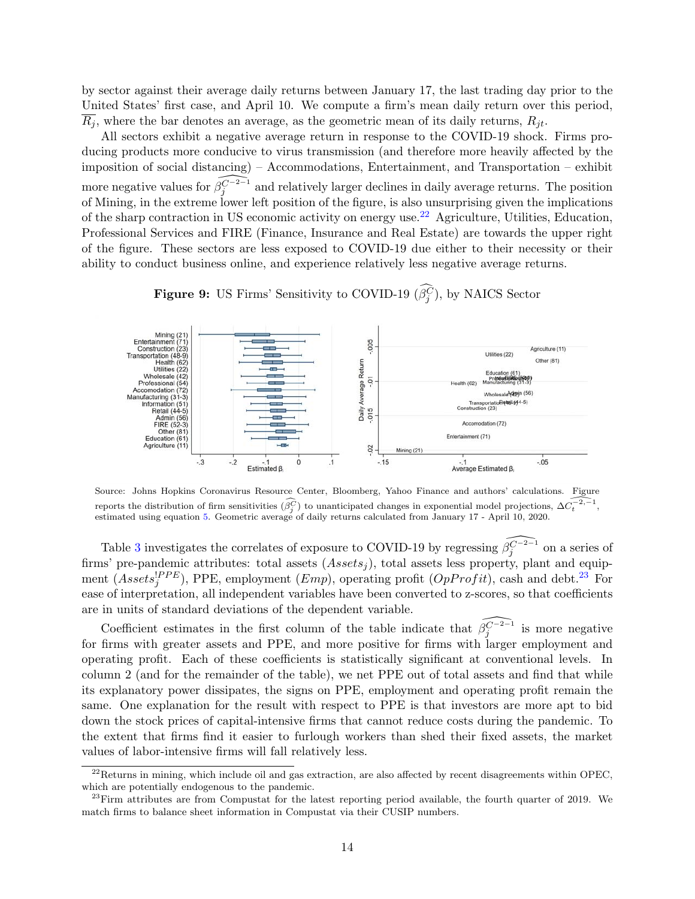by sector against their average daily returns between January 17, the last trading day prior to the United States' first case, and April 10. We compute a firm's mean daily return over this period,  $R_i$ , where the bar denotes an average, as the geometric mean of its daily returns,  $R_{it}$ .

All sectors exhibit a negative average return in response to the COVID-19 shock. Firms producing products more conducive to virus transmission (and therefore more heavily affected by the imposition of social distancing) – Accommodations, Entertainment, and Transportation – exhibit more negative values for  $\widehat{\beta_j^{C-2-1}}$  and relatively larger declines in daily average returns. The position of Mining, in the extreme lower left position of the figure, is also unsurprising given the implications of the sharp contraction in US economic activity on energy use.<sup>[22](#page-15-1)</sup> Agriculture, Utilities, Education, Professional Services and FIRE (Finance, Insurance and Real Estate) are towards the upper right of the figure. These sectors are less exposed to COVID-19 due either to their necessity or their ability to conduct business online, and experience relatively less negative average returns.

<span id="page-15-0"></span>

**Figure 9:** US Firms' Sensitivity to COVID-19 ( $\beta_j^C$ ), by NAICS Sector

Source: Johns Hopkins Coronavirus Resource Center, Bloomberg, Yahoo Finance and authors' calculations. Figure reports the distribution of firm sensitivities  $(\widehat{\beta_j^C})$  to unanticipated changes in exponential model projections,  $\Delta \widehat{\alpha_t^{-2,-1}}$ , estimated using equation [5.](#page-13-1) Geometric average of daily returns calculated from January 17 - April 10, 2020.

Table [3](#page-16-0) investigates the correlates of exposure to COVID-19 by regressing  $\widehat{\beta_j^{C-2-1}}$  on a series of firms' pre-pandemic attributes: total assets  $(Assets<sub>i</sub>)$ , total assets less property, plant and equipment  $(Assets_j^{PPE})$ , PPE, employment  $(Emp)$ , operating profit  $(OpProfit)$ , cash and debt.<sup>[23](#page-15-2)</sup> For ease of interpretation, all independent variables have been converted to z-scores, so that coefficients are in units of standard deviations of the dependent variable.

Coefficient estimates in the first column of the table indicate that  $\widehat{\beta_j^{C-2-1}}$  is more negative for firms with greater assets and PPE, and more positive for firms with larger employment and operating profit. Each of these coefficients is statistically significant at conventional levels. In column 2 (and for the remainder of the table), we net PPE out of total assets and find that while its explanatory power dissipates, the signs on PPE, employment and operating profit remain the same. One explanation for the result with respect to PPE is that investors are more apt to bid down the stock prices of capital-intensive firms that cannot reduce costs during the pandemic. To the extent that firms find it easier to furlough workers than shed their fixed assets, the market values of labor-intensive firms will fall relatively less.

<span id="page-15-1"></span> $^{22}$ Returns in mining, which include oil and gas extraction, are also affected by recent disagreements within OPEC, which are potentially endogenous to the pandemic.

<span id="page-15-2"></span> $^{23}$ Firm attributes are from Compustat for the latest reporting period available, the fourth quarter of 2019. We match firms to balance sheet information in Compustat via their CUSIP numbers.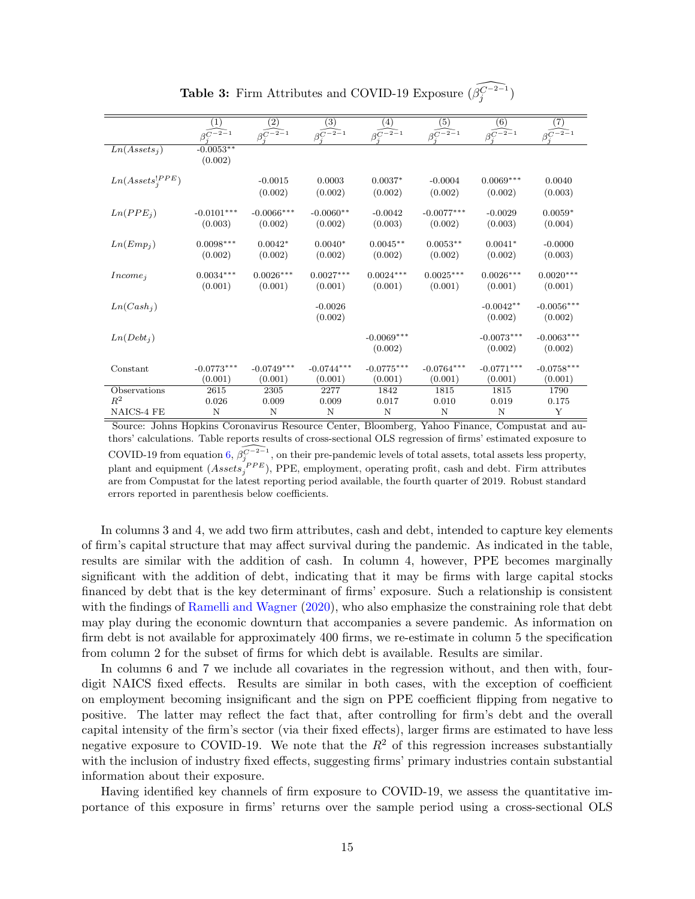<span id="page-16-0"></span>

|                          | (1)                            | $\left( 2\right)$              | (3)                            | (4)                            | (5)                            | (6)                         | (7)                            |
|--------------------------|--------------------------------|--------------------------------|--------------------------------|--------------------------------|--------------------------------|-----------------------------|--------------------------------|
|                          | $\widehat{\beta_i^{C^{-2-1}}}$ | $\widehat{\beta_i^{C^{-2-1}}}$ | $\widehat{\beta_i^{C^{-2-1}}}$ | $\widehat{\beta^{C^{-2-1}_s}}$ | $\widehat{\beta^{C^{-2-1}}_*}$ | $\widehat{\beta_1^{C-2-1}}$ | $\widehat{\beta^{C^{-2-1}}_*}$ |
| Ln(Assets <sub>i</sub> ) | $-0.0053**$                    |                                |                                |                                |                                |                             |                                |
|                          | (0.002)                        |                                |                                |                                |                                |                             |                                |
| $Ln(Assets_i^{PPE})$     |                                | $-0.0015$                      | 0.0003                         | $0.0037*$                      | $-0.0004$                      | $0.0069***$                 | 0.0040                         |
|                          |                                | (0.002)                        | (0.002)                        | (0.002)                        | (0.002)                        | (0.002)                     | (0.003)                        |
|                          |                                |                                |                                |                                |                                |                             |                                |
| Ln(PPE <sub>j</sub> )    | $-0.0101***$<br>(0.003)        | $-0.0066***$<br>(0.002)        | $-0.0060**$<br>(0.002)         | $-0.0042$<br>(0.003)           | $-0.0077***$<br>(0.002)        | $-0.0029$<br>(0.003)        | $0.0059*$<br>(0.004)           |
|                          |                                |                                |                                |                                |                                |                             |                                |
| Ln(Emp <sub>i</sub> )    | $0.0098***$                    | $0.0042*$                      | $0.0040*$                      | $0.0045**$                     | $0.0053**$                     | $0.0041*$                   | $-0.0000$                      |
|                          | (0.002)                        | (0.002)                        | (0.002)                        | (0.002)                        | (0.002)                        | (0.002)                     | (0.003)                        |
| $Income_i$               | $0.0034***$                    | $0.0026***$                    | $0.0027***$                    | $0.0024***$                    | $0.0025***$                    | $0.0026***$                 | $0.0020***$                    |
|                          | (0.001)                        | (0.001)                        | (0.001)                        | (0.001)                        | (0.001)                        | (0.001)                     | (0.001)                        |
| Ln(Cash <sub>i</sub> )   |                                |                                | $-0.0026$                      |                                |                                | $-0.0042**$                 | $-0.0056***$                   |
|                          |                                |                                | (0.002)                        |                                |                                | (0.002)                     | (0.002)                        |
|                          |                                |                                |                                |                                |                                |                             |                                |
| $Ln(Debt_i)$             |                                |                                |                                | $-0.0069***$                   |                                | $-0.0073***$                | $-0.0063***$                   |
|                          |                                |                                |                                | (0.002)                        |                                | (0.002)                     | (0.002)                        |
| Constant                 | $-0.0773***$                   | $-0.0749***$                   | $-0.0744***$                   | $-0.0775***$                   | $-0.0764***$                   | $-0.0771***$                | $-0.0758***$                   |
|                          | (0.001)                        | (0.001)                        | (0.001)                        | (0.001)                        | (0.001)                        | (0.001)                     | (0.001)                        |
| Observations             | 2615                           | 2305                           | 2277                           | 1842                           | 1815                           | 1815                        | 1790                           |
| $R^2$<br>NAICS-4 FE      | 0.026<br>N                     | 0.009<br>N                     | 0.009<br>N                     | 0.017<br>N                     | 0.010<br>N                     | 0.019<br>N                  | 0.175<br>Y                     |
|                          |                                |                                |                                |                                |                                |                             |                                |

Table 3: Firm Attributes and COVID-19 Exposure  $(\widehat{\beta_j^{C^{-2-1}}})$ 

Source: Johns Hopkins Coronavirus Resource Center, Bloomberg, Yahoo Finance, Compustat and authors' calculations. Table reports results of cross-sectional OLS regression of firms' estimated exposure to COVID-19 from equation [6,](#page-17-0)  $\widehat{\beta_j^{C-2-1}}$ , on their pre-pandemic levels of total assets, total assets less property, plant and equipment  $(Assets_j^{\ PPE})$ , PPE, employment, operating profit, cash and debt. Firm attributes are from Compustat for the latest reporting period available, the fourth quarter of 2019. Robust standard errors reported in parenthesis below coefficients.

In columns 3 and 4, we add two firm attributes, cash and debt, intended to capture key elements of firm's capital structure that may affect survival during the pandemic. As indicated in the table, results are similar with the addition of cash. In column 4, however, PPE becomes marginally significant with the addition of debt, indicating that it may be firms with large capital stocks financed by debt that is the key determinant of firms' exposure. Such a relationship is consistent with the findings of [Ramelli and Wagner](#page-27-0) [\(2020\)](#page-27-0), who also emphasize the constraining role that debt may play during the economic downturn that accompanies a severe pandemic. As information on firm debt is not available for approximately 400 firms, we re-estimate in column 5 the specification from column 2 for the subset of firms for which debt is available. Results are similar.

In columns 6 and 7 we include all covariates in the regression without, and then with, fourdigit NAICS fixed effects. Results are similar in both cases, with the exception of coefficient on employment becoming insignificant and the sign on PPE coefficient flipping from negative to positive. The latter may reflect the fact that, after controlling for firm's debt and the overall capital intensity of the firm's sector (via their fixed effects), larger firms are estimated to have less negative exposure to COVID-19. We note that the  $R^2$  of this regression increases substantially with the inclusion of industry fixed effects, suggesting firms' primary industries contain substantial information about their exposure.

Having identified key channels of firm exposure to COVID-19, we assess the quantitative importance of this exposure in firms' returns over the sample period using a cross-sectional OLS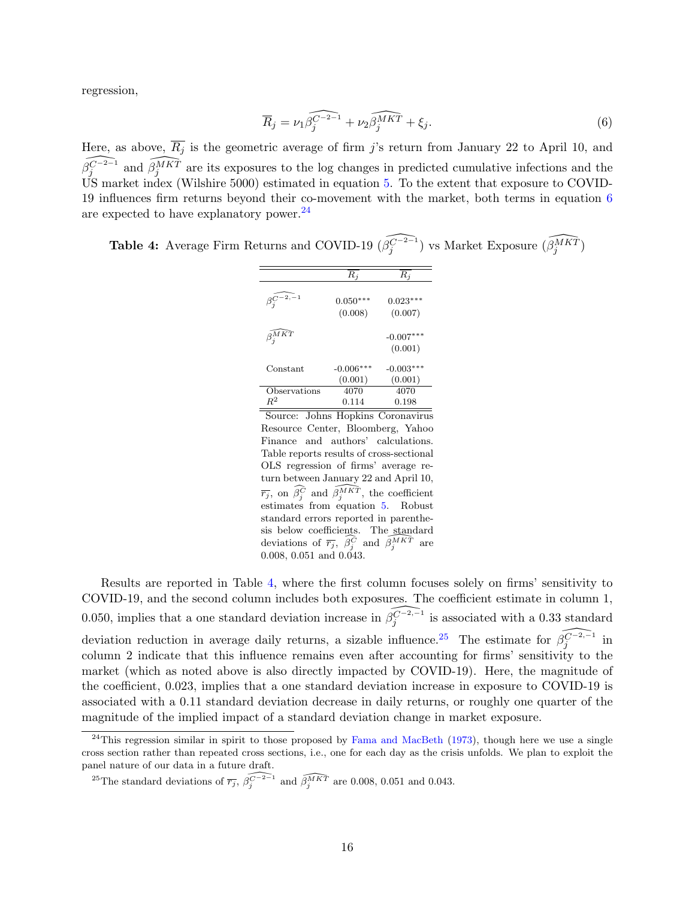regression,

<span id="page-17-0"></span>
$$
\overline{R}_j = \nu_1 \widehat{\beta_j^{C-2-1}} + \nu_2 \widehat{\beta_j^{MKT}} + \xi_j.
$$
\n(6)

Here, as above,  $\overline{R_j}$  is the geometric average of firm j's return from January 22 to April 10, and  $\widehat{\beta_j^{C^{-2-1}}}$  and  $\widehat{\beta_j^{AKT}}$  are its exposures to the log changes in predicted cumulative infections and the US market index (Wilshire 5000) estimated in equation [5.](#page-13-1) To the extent that exposure to COVID-19 influences firm returns beyond their co-movement with the market, both terms in equation [6](#page-17-0) are expected to have explanatory power. $^{24}$  $^{24}$  $^{24}$ 

<span id="page-17-2"></span>Table 4: Average Firm Returns and COVID-19  $(\widehat{\beta_j^{C^{-2-1}}})$  vs Market Exposure  $(\widehat{\beta_j^{MKT}})$ 

|                                            | $R_i$                  | R.                     |
|--------------------------------------------|------------------------|------------------------|
| $\beta_i^{C-2,\mathstrut \widehat{-}\, 1}$ | $0.050***$<br>(0.008)  | $0.023***$<br>(0.007)  |
| $\beta_i^{M \widehat{KT}}$                 |                        | $-0.007***$<br>(0.001) |
| Constant                                   | $-0.006***$<br>(0.001) | $-0.003***$<br>(0.001) |
| Observations<br>$R^2$                      | 4070<br>0.114          | 4070<br>0.198          |
| Source:<br>ns                              | Honkins                | Joronaviru             |

Source: Johns Hopkins Coronavirus Resource Center, Bloomberg, Yahoo Finance and authors' calculations. Table reports results of cross-sectional OLS regression of firms' average return between January 22 and April 10,  $\overline{r_j}$ , on  $\widehat{\beta_j^C}$  and  $\widehat{\beta_j^{MKT}}$ , the coefficient estimates from equation [5.](#page-13-1) Robust standard errors reported in parenthesis below coefficients. The standard deviations of  $\overline{r_j}$ ,  $\overline{\beta_j^C}$  and  $\overline{\beta_j^{MKT}}$  are 0.008, 0.051 and 0.043.

Results are reported in Table [4,](#page-17-2) where the first column focuses solely on firms' sensitivity to COVID-19, and the second column includes both exposures. The coefficient estimate in column 1, 0.050, implies that a one standard deviation increase in  $\widehat{\beta_j^{(-2,-1)}}$  is associated with a 0.33 standard deviation reduction in average daily returns, a sizable influence.<sup>[25](#page-17-3)</sup> The estimate for  $\widehat{\beta_j^{C-2,-1}}$  in column 2 indicate that this influence remains even after accounting for firms' sensitivity to the market (which as noted above is also directly impacted by COVID-19). Here, the magnitude of the coefficient, 0.023, implies that a one standard deviation increase in exposure to COVID-19 is associated with a 0.11 standard deviation decrease in daily returns, or roughly one quarter of the magnitude of the implied impact of a standard deviation change in market exposure.

<span id="page-17-1"></span> $^{24}$ This regression similar in spirit to those proposed by [Fama and MacBeth](#page-27-16) [\(1973\)](#page-27-16), though here we use a single cross section rather than repeated cross sections, i.e., one for each day as the crisis unfolds. We plan to exploit the panel nature of our data in a future draft.

<span id="page-17-3"></span><sup>&</sup>lt;sup>25</sup>The standard deviations of  $\widehat{r_j}$ ,  $\widehat{\beta_j^{C-2-1}}$  and  $\widehat{\beta_j^{AKT}}$  are 0.008, 0.051 and 0.043.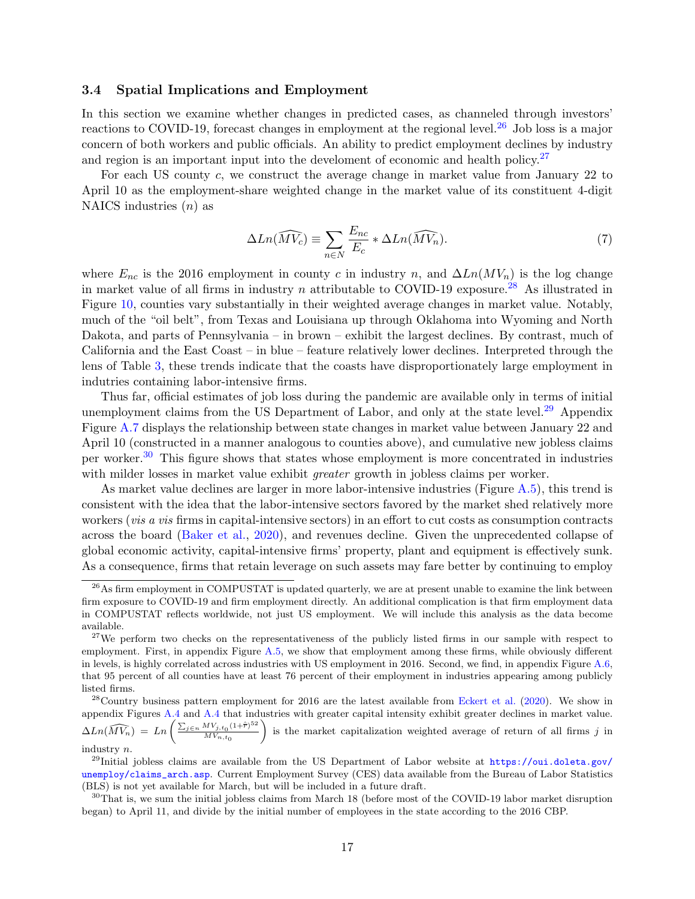### 3.4 Spatial Implications and Employment

In this section we examine whether changes in predicted cases, as channeled through investors' reactions to COVID-19, forecast changes in employment at the regional level.<sup>[26](#page-18-0)</sup> Job loss is a major concern of both workers and public officials. An ability to predict employment declines by industry and region is an important input into the develoment of economic and health policy.<sup>[27](#page-18-1)</sup>

For each US county c, we construct the average change in market value from January 22 to April 10 as the employment-share weighted change in the market value of its constituent 4-digit NAICS industries  $(n)$  as

$$
\Delta Ln(\widehat{MV_c}) \equiv \sum_{n \in N} \frac{E_{nc}}{E_c} * \Delta Ln(\widehat{MV_n}). \tag{7}
$$

where  $E_{nc}$  is the 2016 employment in county c in industry n, and  $\Delta Ln(MV_n)$  is the log change in market value of all firms in industry n attributable to COVID-19 exposure.<sup>[28](#page-18-2)</sup> As illustrated in Figure [10,](#page-19-0) counties vary substantially in their weighted average changes in market value. Notably, much of the "oil belt", from Texas and Louisiana up through Oklahoma into Wyoming and North Dakota, and parts of Pennsylvania – in brown – exhibit the largest declines. By contrast, much of California and the East Coast – in blue – feature relatively lower declines. Interpreted through the lens of Table [3,](#page-16-0) these trends indicate that the coasts have disproportionately large employment in indutries containing labor-intensive firms.

Thus far, official estimates of job loss during the pandemic are available only in terms of initial unemployment claims from the US Department of Labor, and only at the state level.<sup>[29](#page-18-3)</sup> Appendix Figure [A.7](#page-31-0) displays the relationship between state changes in market value between January 22 and April 10 (constructed in a manner analogous to counties above), and cumulative new jobless claims per worker.[30](#page-18-4) This figure shows that states whose employment is more concentrated in industries with milder losses in market value exhibit *greater* growth in jobless claims per worker.

As market value declines are larger in more labor-intensive industries (Figure [A.5\)](#page-30-0), this trend is consistent with the idea that the labor-intensive sectors favored by the market shed relatively more workers (vis a vis firms in capital-intensive sectors) in an effort to cut costs as consumption contracts across the board [\(Baker et al.,](#page-26-2) [2020\)](#page-26-2), and revenues decline. Given the unprecedented collapse of global economic activity, capital-intensive firms' property, plant and equipment is effectively sunk. As a consequence, firms that retain leverage on such assets may fare better by continuing to employ

 $\Delta Ln(\widehat{MV_n}) = Ln \left( \frac{\sum_{j \in n} MV_{j,t_0}(1+\hat{\bar{r}})^{52}}{MV_{j,t_0}} \right)$  $MV_{n,t_0}$ is the market capitalization weighted average of return of all firms  $j$  in industry n.

<span id="page-18-0"></span> $^{26}$ As firm employment in COMPUSTAT is updated quarterly, we are at present unable to examine the link between firm exposure to COVID-19 and firm employment directly. An additional complication is that firm employment data in COMPUSTAT reflects worldwide, not just US employment. We will include this analysis as the data become available.

<span id="page-18-1"></span><sup>&</sup>lt;sup>27</sup>We perform two checks on the representativeness of the publicly listed firms in our sample with respect to employment. First, in appendix Figure [A.5,](#page-30-0) we show that employment among these firms, while obviously different in levels, is highly correlated across industries with US employment in 2016. Second, we find, in appendix Figure [A.6,](#page-31-1) that 95 percent of all counties have at least 76 percent of their employment in industries appearing among publicly listed firms.

<span id="page-18-2"></span> $^{28}$ Country business pattern employment for 2016 are the latest available from [Eckert et al.](#page-27-17) [\(2020\)](#page-27-17). We show in appendix Figures [A.4](#page-30-1) and [A.4](#page-30-1) that industries with greater capital intensity exhibit greater declines in market value.

<span id="page-18-3"></span><sup>&</sup>lt;sup>29</sup>Initial jobless claims are available from the US Department of Labor website at  $\frac{htps://oui.doleta.gov/}{$ [unemploy/claims\\_arch.asp](https://oui.doleta.gov/unemploy/claims_arch.asp). Current Employment Survey (CES) data available from the Bureau of Labor Statistics (BLS) is not yet available for March, but will be included in a future draft.

<span id="page-18-4"></span> $30$ That is, we sum the initial jobless claims from March 18 (before most of the COVID-19 labor market disruption began) to April 11, and divide by the initial number of employees in the state according to the 2016 CBP.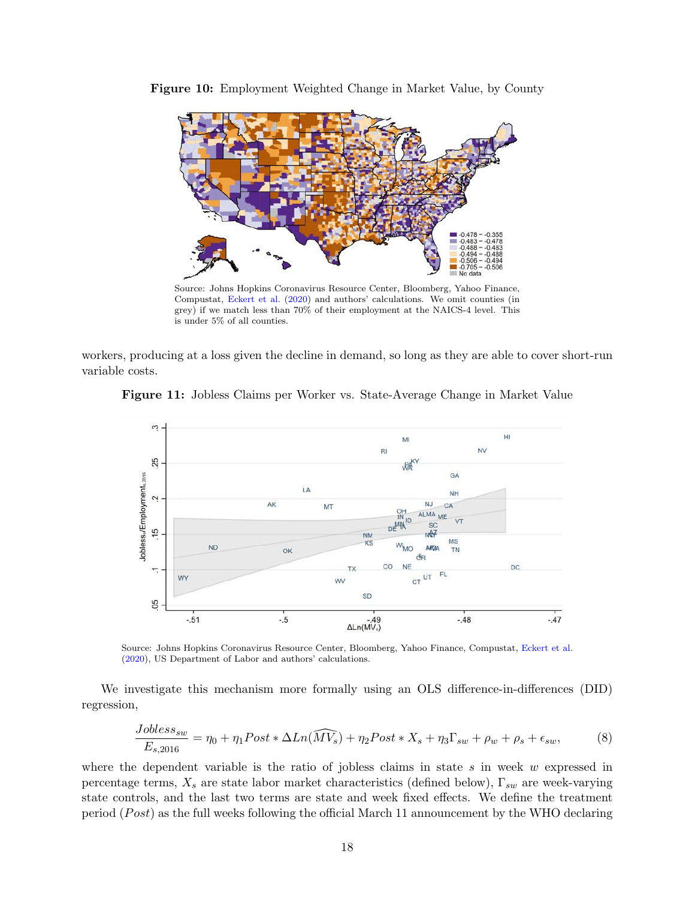

<span id="page-19-0"></span>Figure 10: Employment Weighted Change in Market Value, by County

Source: Johns Hopkins Coronavirus Resource Center, Bloomberg, Yahoo Finance, Compustat, [Eckert et al.](#page-27-17) [\(2020\)](#page-27-17) and authors' calculations. We omit counties (in grey) if we match less than 70% of their employment at the NAICS-4 level. This is under 5% of all counties.

workers, producing at a loss given the decline in demand, so long as they are able to cover short-run variable costs.





Source: Johns Hopkins Coronavirus Resource Center, Bloomberg, Yahoo Finance, Compustat, [Eckert et al.](#page-27-17) [\(2020\)](#page-27-17), US Department of Labor and authors' calculations.

We investigate this mechanism more formally using an OLS difference-in-differences (DID) regression,

$$
\frac{Jobless_{sw}}{E_{s,2016}} = \eta_0 + \eta_1 Post * \Delta Ln(\widehat{MV_s}) + \eta_2 Post * X_s + \eta_3 \Gamma_{sw} + \rho_w + \rho_s + \epsilon_{sw},\tag{8}
$$

where the dependent variable is the ratio of jobless claims in state  $s$  in week  $w$  expressed in percentage terms,  $X_s$  are state labor market characteristics (defined below),  $\Gamma_{sw}$  are week-varying state controls, and the last two terms are state and week fixed effects. We define the treatment period ( $Post$ ) as the full weeks following the official March 11 announcement by the WHO declaring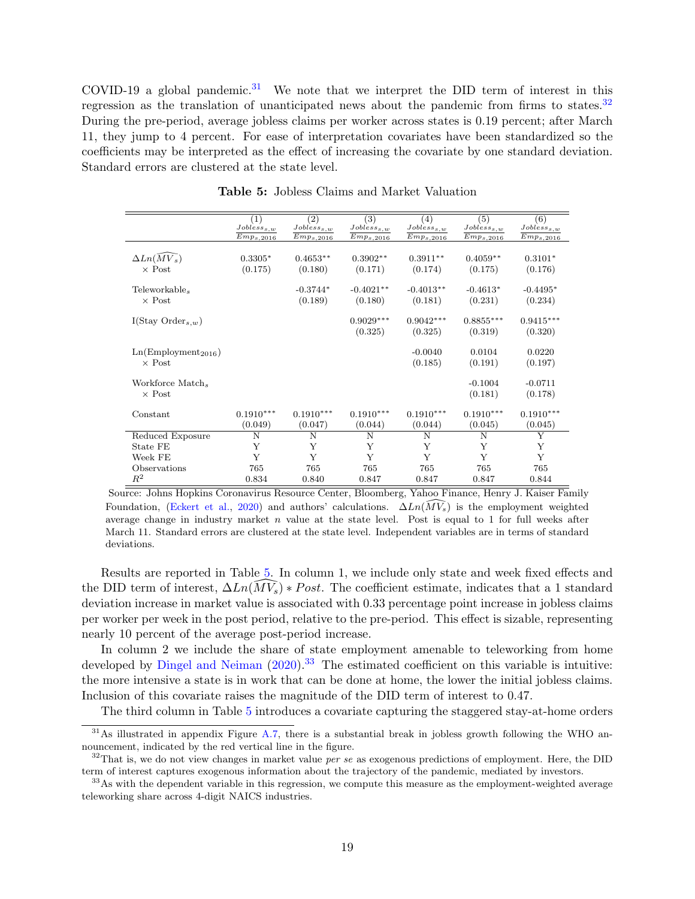COVID-19 a global pandemic.<sup>[31](#page-20-0)</sup> We note that we interpret the DID term of interest in this regression as the translation of unanticipated news about the pandemic from firms to states.<sup>[32](#page-20-1)</sup> During the pre-period, average jobless claims per worker across states is 0.19 percent; after March 11, they jump to 4 percent. For ease of interpretation covariates have been standardized so the coefficients may be interpreted as the effect of increasing the covariate by one standard deviation. Standard errors are clustered at the state level.

<span id="page-20-2"></span>

|                                 | (1)<br>$Jobless_{s,w}$ | (2)<br>$Jobless_{s,w}$ | (3)<br>$Jobless_{s,w}$ | (4)<br>$Jobless_{s,w}$ | (5)<br>$Jobless_{s,w}$ | (6)<br>$Jobless_{s,w}$ |
|---------------------------------|------------------------|------------------------|------------------------|------------------------|------------------------|------------------------|
|                                 | $Emp_{s,2016}$         | $Emp_{s,2016}$         | $Emp_{s,2016}$         | $Emp_{s,2016}$         | $Emp_{s,2016}$         | $Emp_{s,2016}$         |
|                                 |                        |                        |                        |                        |                        |                        |
| $\Delta Ln(MV_s)$               | $0.3305*$              | $0.4653**$             | $0.3902**$             | $0.3911**$             | $0.4059**$             | $0.3101*$              |
| $\times$ Post                   | (0.175)                | (0.180)                | (0.171)                | (0.174)                | (0.175)                | (0.176)                |
|                                 |                        |                        |                        |                        |                        |                        |
| Teleworkable <sub>s</sub>       |                        | $-0.3744*$             | $-0.4021**$            | $-0.4013**$            | $-0.4613*$             | $-0.4495*$             |
| $\times$ Post                   |                        | (0.189)                | (0.180)                | (0.181)                | (0.231)                | (0.234)                |
| I(Stay Order <sub>s,w</sub> )   |                        |                        | $0.9029***$            | $0.9042***$            | $0.8855***$            | $0.9415***$            |
|                                 |                        |                        | (0.325)                | (0.325)                | (0.319)                | (0.320)                |
|                                 |                        |                        |                        |                        |                        |                        |
| Ln(Employment <sub>2016</sub> ) |                        |                        |                        | $-0.0040$              | 0.0104                 | 0.0220                 |
| $\times$ Post                   |                        |                        |                        | (0.185)                | (0.191)                | (0.197)                |
| Workforce Match,                |                        |                        |                        |                        | $-0.1004$              | $-0.0711$              |
| $\times$ Post                   |                        |                        |                        |                        | (0.181)                | (0.178)                |
|                                 |                        |                        |                        |                        |                        |                        |
| Constant                        | $0.1910***$            | $0.1910***$            | $0.1910***$            | $0.1910***$            | $0.1910***$            | $0.1910***$            |
|                                 | (0.049)                | (0.047)                | (0.044)                | (0.044)                | (0.045)                | (0.045)                |
| Reduced Exposure                | N                      | N                      | N                      | N                      | N                      | Y                      |
| State FE                        | Y                      | Y                      | Y                      | Y                      | Y                      | Y                      |
| Week FE                         | Y                      | Y                      | Y                      | Y                      | Y                      | Y                      |
| Observations                    | 765                    | 765                    | 765                    | 765                    | 765                    | 765                    |
| $R^2$                           | 0.834                  | 0.840                  | 0.847                  | 0.847                  | 0.847                  | 0.844                  |

Table 5: Jobless Claims and Market Valuation

Source: Johns Hopkins Coronavirus Resource Center, Bloomberg, Yahoo Finance, Henry J. Kaiser Family Foundation, [\(Eckert et al.,](#page-27-17) [2020\)](#page-27-17) and authors' calculations.  $\Delta Ln(\widehat{MV}_s)$  is the employment weighted average change in industry market  $n$  value at the state level. Post is equal to 1 for full weeks after March 11. Standard errors are clustered at the state level. Independent variables are in terms of standard deviations.

Results are reported in Table [5.](#page-20-2) In column 1, we include only state and week fixed effects and the DID term of interest,  $\Delta Ln(\widehat{MV_s}) * Post$ . The coefficient estimate, indicates that a 1 standard deviation increase in market value is associated with 0.33 percentage point increase in jobless claims per worker per week in the post period, relative to the pre-period. This effect is sizable, representing nearly 10 percent of the average post-period increase.

In column 2 we include the share of state employment amenable to teleworking from home developed by [Dingel and Neiman](#page-26-15)  $(2020)$ .<sup>[33](#page-20-3)</sup> The estimated coefficient on this variable is intuitive: the more intensive a state is in work that can be done at home, the lower the initial jobless claims. Inclusion of this covariate raises the magnitude of the DID term of interest to 0.47.

<span id="page-20-0"></span>The third column in Table [5](#page-20-2) introduces a covariate capturing the staggered stay-at-home orders

 $31\text{As illustrated in appendix Figure A.7, there is a substantial break in jobless growth following the WHO an 31\text{As illustrated in appendix Figure A.7, there is a substantial break in jobless growth following the WHO an 31\text{As illustrated in appendix Figure A.7, there is a substantial break in jobless growth following the WHO an$ nouncement, indicated by the red vertical line in the figure.

<span id="page-20-1"></span> $32$ That is, we do not view changes in market value *per se* as exogenous predictions of employment. Here, the DID term of interest captures exogenous information about the trajectory of the pandemic, mediated by investors.

<span id="page-20-3"></span><sup>&</sup>lt;sup>33</sup>As with the dependent variable in this regression, we compute this measure as the employment-weighted average teleworking share across 4-digit NAICS industries.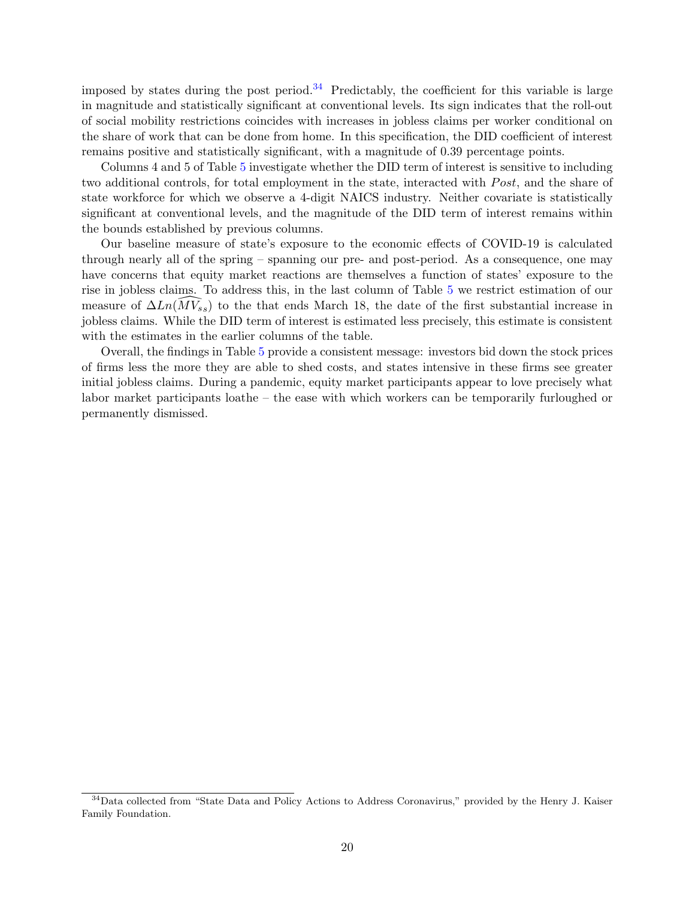imposed by states during the post period.<sup>[34](#page-21-0)</sup> Predictably, the coefficient for this variable is large in magnitude and statistically significant at conventional levels. Its sign indicates that the roll-out of social mobility restrictions coincides with increases in jobless claims per worker conditional on the share of work that can be done from home. In this specification, the DID coefficient of interest remains positive and statistically significant, with a magnitude of 0.39 percentage points.

Columns 4 and 5 of Table [5](#page-20-2) investigate whether the DID term of interest is sensitive to including two additional controls, for total employment in the state, interacted with *Post*, and the share of state workforce for which we observe a 4-digit NAICS industry. Neither covariate is statistically significant at conventional levels, and the magnitude of the DID term of interest remains within the bounds established by previous columns.

Our baseline measure of state's exposure to the economic effects of COVID-19 is calculated through nearly all of the spring – spanning our pre- and post-period. As a consequence, one may have concerns that equity market reactions are themselves a function of states' exposure to the rise in jobless claims. To address this, in the last column of Table [5](#page-20-2) we restrict estimation of our measure of  $\Delta Ln(\widehat{MV}_{ss})$  to the that ends March 18, the date of the first substantial increase in jobless claims. While the DID term of interest is estimated less precisely, this estimate is consistent with the estimates in the earlier columns of the table.

Overall, the findings in Table [5](#page-20-2) provide a consistent message: investors bid down the stock prices of firms less the more they are able to shed costs, and states intensive in these firms see greater initial jobless claims. During a pandemic, equity market participants appear to love precisely what labor market participants loathe – the ease with which workers can be temporarily furloughed or permanently dismissed.

<span id="page-21-0"></span><sup>&</sup>lt;sup>34</sup>Data collected from "State Data and Policy Actions to Address Coronavirus," provided by the Henry J. Kaiser Family Foundation.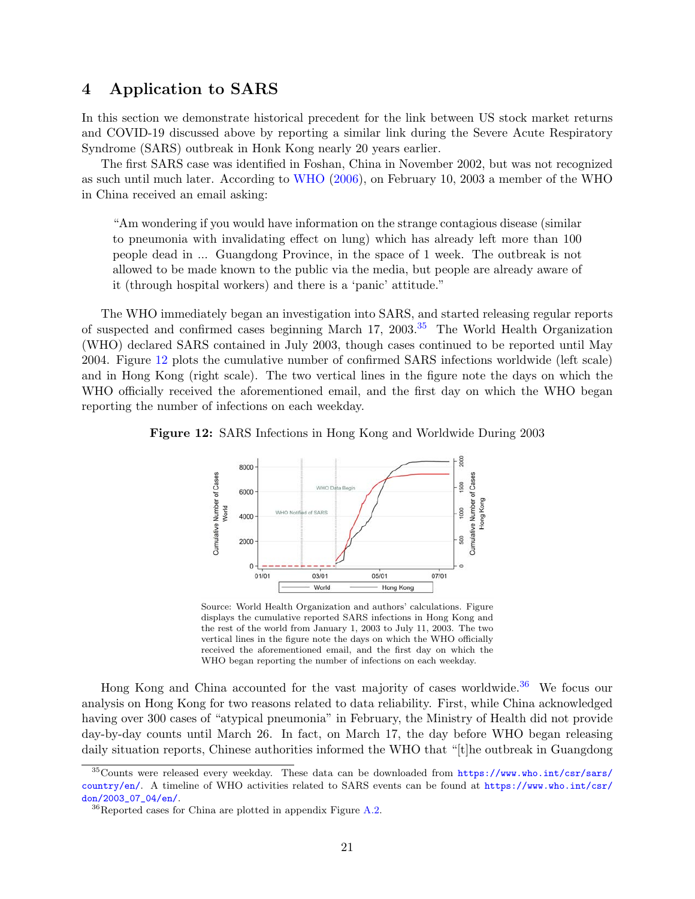## <span id="page-22-0"></span>4 Application to SARS

In this section we demonstrate historical precedent for the link between US stock market returns and COVID-19 discussed above by reporting a similar link during the Severe Acute Respiratory Syndrome (SARS) outbreak in Honk Kong nearly 20 years earlier.

The first SARS case was identified in Foshan, China in November 2002, but was not recognized as such until much later. According to [WHO](#page-28-3) [\(2006\)](#page-28-3), on February 10, 2003 a member of the WHO in China received an email asking:

"Am wondering if you would have information on the strange contagious disease (similar to pneumonia with invalidating effect on lung) which has already left more than 100 people dead in ... Guangdong Province, in the space of 1 week. The outbreak is not allowed to be made known to the public via the media, but people are already aware of it (through hospital workers) and there is a 'panic' attitude."

The WHO immediately began an investigation into SARS, and started releasing regular reports of suspected and confirmed cases beginning March 17, 2003.[35](#page-22-1) The World Health Organization (WHO) declared SARS contained in July 2003, though cases continued to be reported until May 2004. Figure [12](#page-22-2) plots the cumulative number of confirmed SARS infections worldwide (left scale) and in Hong Kong (right scale). The two vertical lines in the figure note the days on which the WHO officially received the aforementioned email, and the first day on which the WHO began reporting the number of infections on each weekday.

<span id="page-22-2"></span>



Source: World Health Organization and authors' calculations. Figure displays the cumulative reported SARS infections in Hong Kong and the rest of the world from January 1, 2003 to July 11, 2003. The two vertical lines in the figure note the days on which the WHO officially received the aforementioned email, and the first day on which the WHO began reporting the number of infections on each weekday.

Hong Kong and China accounted for the vast majority of cases worldwide.<sup>[36](#page-22-3)</sup> We focus our analysis on Hong Kong for two reasons related to data reliability. First, while China acknowledged having over 300 cases of "atypical pneumonia" in February, the Ministry of Health did not provide day-by-day counts until March 26. In fact, on March 17, the day before WHO began releasing daily situation reports, Chinese authorities informed the WHO that "[t]he outbreak in Guangdong

<span id="page-22-1"></span><sup>&</sup>lt;sup>35</sup>Counts were released every weekday. These data can be downloaded from [https://www.who.int/csr/sars/](https://www.who.int/csr/sars/country/en/) [country/en/](https://www.who.int/csr/sars/country/en/). A timeline of WHO activities related to SARS events can be found at [https://www.who.int/csr/](https://www.who.int/csr/don/2003_07_04/en/) [don/2003\\_07\\_04/en/](https://www.who.int/csr/don/2003_07_04/en/).

<span id="page-22-3"></span> ${}^{36}$ Reported cases for China are plotted in appendix Figure [A.2.](#page-29-1)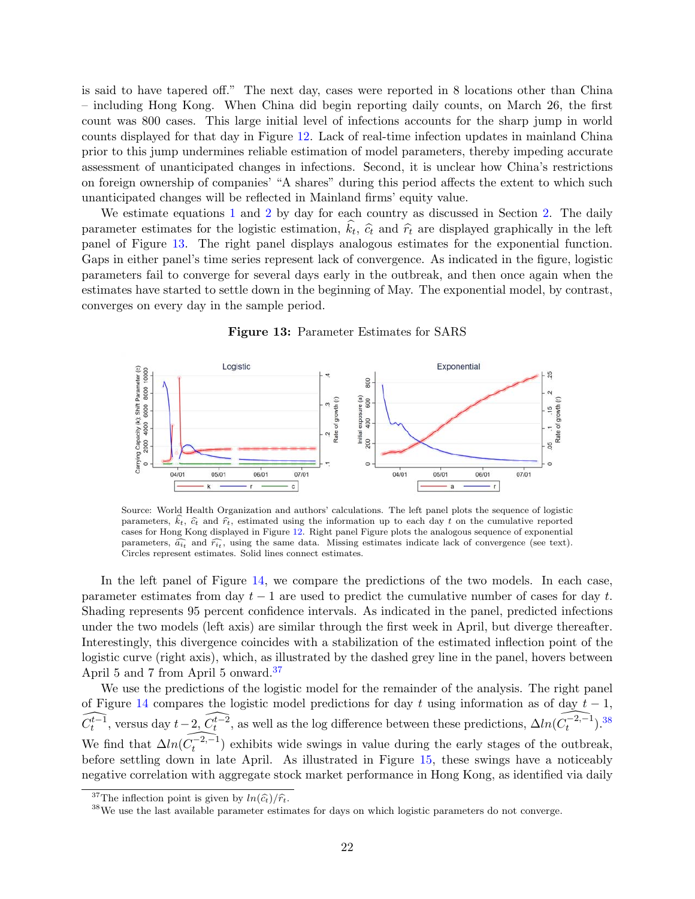is said to have tapered off." The next day, cases were reported in 8 locations other than China – including Hong Kong. When China did begin reporting daily counts, on March 26, the first count was 800 cases. This large initial level of infections accounts for the sharp jump in world counts displayed for that day in Figure [12.](#page-22-2) Lack of real-time infection updates in mainland China prior to this jump undermines reliable estimation of model parameters, thereby impeding accurate assessment of unanticipated changes in infections. Second, it is unclear how China's restrictions on foreign ownership of companies' "A shares" during this period affects the extent to which such unanticipated changes will be reflected in Mainland firms' equity value.

We estimate equations [1](#page-5-1) and [2](#page-5-2) by day for each country as discussed in Section [2.](#page-4-2) The daily parameter estimates for the logistic estimation,  $k_t$ ,  $\hat{c}_t$  and  $\hat{r}_t$  are displayed graphically in the left<br>panel of Figure 12. The right panel displays applaceus estimates for the exponential function panel of Figure [13.](#page-23-0) The right panel displays analogous estimates for the exponential function. Gaps in either panel's time series represent lack of convergence. As indicated in the figure, logistic parameters fail to converge for several days early in the outbreak, and then once again when the estimates have started to settle down in the beginning of May. The exponential model, by contrast, converges on every day in the sample period.

#### Figure 13: Parameter Estimates for SARS

<span id="page-23-0"></span>

Source: World Health Organization and authors' calculations. The left panel plots the sequence of logistic parameters,  $\hat{k}_t$ ,  $\hat{c}_t$  and  $\hat{r}_t$ , estimated using the information up to each day t on the cumulative reported cases for Hong Kong displayed in Figure [12.](#page-22-2) Right panel Figure plots the analogous sequence of exponential parameters,  $\widehat{a_{it}}$  and  $\widehat{r_{it}}$ , using the same data. Missing estimates indicate lack of convergence (see text).<br>Circles represent estimates, Solid lines connect estimates Circles represent estimates. Solid lines connect estimates.

In the left panel of Figure [14,](#page-24-0) we compare the predictions of the two models. In each case, parameter estimates from day  $t - 1$  are used to predict the cumulative number of cases for day t. Shading represents 95 percent confidence intervals. As indicated in the panel, predicted infections under the two models (left axis) are similar through the first week in April, but diverge thereafter. Interestingly, this divergence coincides with a stabilization of the estimated inflection point of the logistic curve (right axis), which, as illustrated by the dashed grey line in the panel, hovers between April 5 and 7 from April 5 onward.[37](#page-23-1)

We use the predictions of the logistic model for the remainder of the analysis. The right panel of Figure [14](#page-24-0) compares the logistic model predictions for day t using information as of day  $t - 1$ ,  $\widehat{C_{t}^{t-1}}$ , versus day  $t-2$ ,  $\widehat{C_{t}^{t-2}}$ , as well as the log difference between these predictions,  $\Delta ln(\widehat{C_{t}^{-2,-1}})$ .<sup>[38](#page-23-2)</sup> We find that  $\widehat{\Delta ln(C_t^{-2,-1})}$  exhibits wide swings in value during the early stages of the outbreak, before settling down in late April. As illustrated in Figure [15,](#page-25-1) these swings have a noticeably negative correlation with aggregate stock market performance in Hong Kong, as identified via daily

<span id="page-23-1"></span><sup>&</sup>lt;sup>37</sup>The inflection point is given by  $ln(\widehat{c_t})/\widehat{r_t}$ .

<span id="page-23-2"></span><sup>38</sup>We use the last available parameter estimates for days on which logistic parameters do not converge.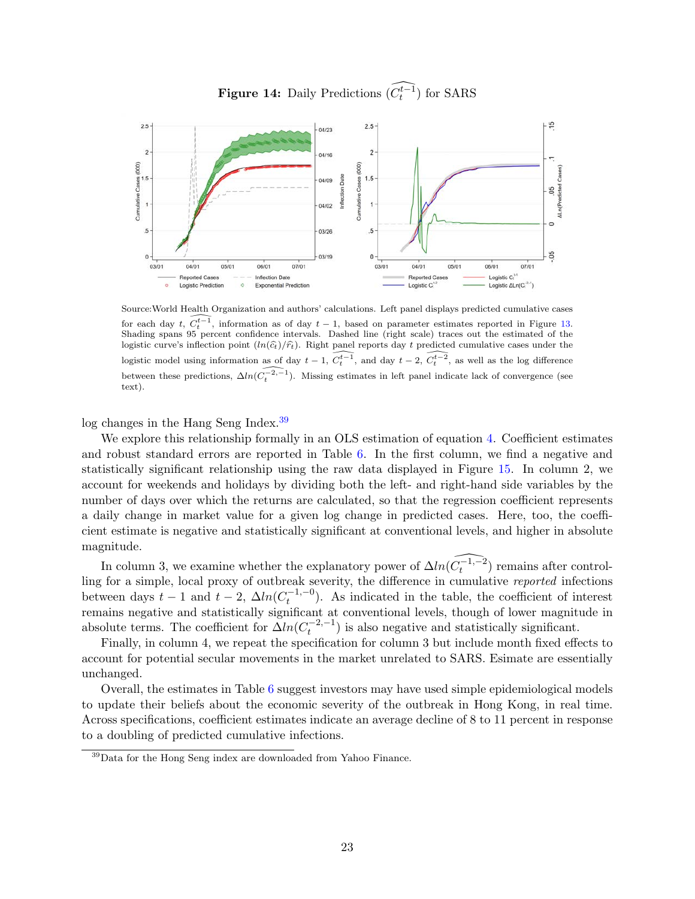Figure 14: Daily Predictions  $\widehat{(C_t^{t-1})}$  for SARS

<span id="page-24-0"></span>

Source:World Health Organization and authors' calculations. Left panel displays predicted cumulative cases for each day t,  $\widehat{C_t^{t-1}}$ , information as of day  $t - 1$ , based on parameter estimates reported in Figure [13.](#page-23-0) Shading spans 95 percent confidence intervals. Dashed line (right scale) traces out the estimated of the logistic curve's inflection point  $(ln(\hat{c}_t)/\hat{r}_t)$ . Right panel reports day t predicted cumulative cases under the logistic model using information as of day  $t - 1$ ,  $\widehat{C_t^{t-1}}$ , and day  $t - 2$ ,  $\widehat{C_t^{t-2}}$ , as well as the log difference between these predictions,  $\Delta ln(\widehat{C_t^{-2,-1}})$ . Missing estimates in left panel indicate lack of convergence (see text).

log changes in the Hang Seng Index.[39](#page-24-1)

We explore this relationship formally in an OLS estimation of equation [4.](#page-10-4) Coefficient estimates and robust standard errors are reported in Table [6.](#page-25-2) In the first column, we find a negative and statistically significant relationship using the raw data displayed in Figure [15.](#page-25-1) In column 2, we account for weekends and holidays by dividing both the left- and right-hand side variables by the number of days over which the returns are calculated, so that the regression coefficient represents a daily change in market value for a given log change in predicted cases. Here, too, the coefficient estimate is negative and statistically significant at conventional levels, and higher in absolute magnitude.

In column 3, we examine whether the explanatory power of  $\Delta ln(\widehat{C_t^{-1,-2}})$  remains after controlling for a simple, local proxy of outbreak severity, the difference in cumulative *reported* infections between days  $t-1$  and  $t-2$ ,  $\Delta ln(C_t^{-1,-0})$  $t_t^{(-1,-0)}$ . As indicated in the table, the coefficient of interest remains negative and statistically significant at conventional levels, though of lower magnitude in absolute terms. The coefficient for  $\Delta ln(C_t^{-2,-1})$  $\binom{-2,-1}{t}$  is also negative and statistically significant.

Finally, in column 4, we repeat the specification for column 3 but include month fixed effects to account for potential secular movements in the market unrelated to SARS. Esimate are essentially unchanged.

Overall, the estimates in Table [6](#page-25-2) suggest investors may have used simple epidemiological models to update their beliefs about the economic severity of the outbreak in Hong Kong, in real time. Across specifications, coefficient estimates indicate an average decline of 8 to 11 percent in response to a doubling of predicted cumulative infections.

<span id="page-24-1"></span><sup>39</sup>Data for the Hong Seng index are downloaded from Yahoo Finance.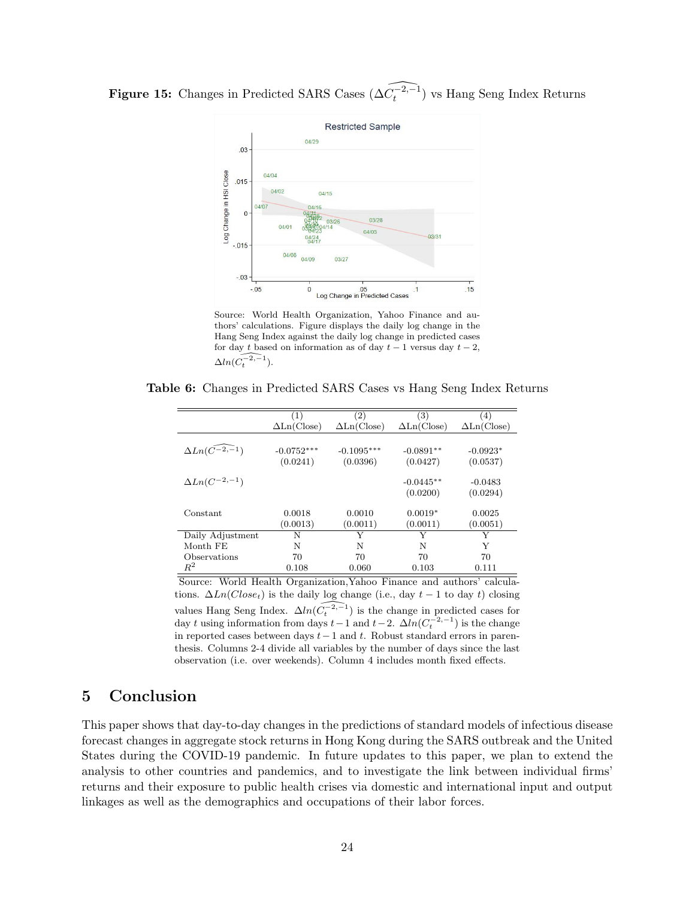<span id="page-25-1"></span>**Figure 15:** Changes in Predicted SARS Cases  $(\widehat{\Delta C_t^{-2,-1}})$  vs Hang Seng Index Returns



Source: World Health Organization, Yahoo Finance and authors' calculations. Figure displays the daily log change in the Hang Seng Index against the daily log change in predicted cases for day t based on information as of day  $t-1$  versus day  $t-2$ ,  $\Delta ln(\widehat{C_t^{-2,-1}})$ .

<span id="page-25-2"></span>

| Table 6: Changes in Predicted SARS Cases vs Hang Seng Index Returns |  |
|---------------------------------------------------------------------|--|
|---------------------------------------------------------------------|--|

|                                  | (1)                              | (2)                              | (3)                              | (4)                              |
|----------------------------------|----------------------------------|----------------------------------|----------------------------------|----------------------------------|
|                                  | $\Delta \text{Ln}(\text{Close})$ | $\Delta \text{Ln}(\text{Close})$ | $\Delta \text{Ln}(\text{Close})$ | $\Delta \text{Ln}(\text{Close})$ |
| $\Delta Ln(\widehat{C^{-2,-1}})$ | $-0.0752***$<br>(0.0241)         | $-0.1095***$<br>(0.0396)         | $-0.0891**$<br>(0.0427)          | $-0.0923*$<br>(0.0537)           |
| $\Delta Ln(C^{-2,-1})$           |                                  |                                  | $-0.0445**$<br>(0.0200)          | $-0.0483$<br>(0.0294)            |
| Constant                         | 0.0018<br>(0.0013)               | 0.0010<br>(0.0011)               | $0.0019*$<br>(0.0011)            | 0.0025<br>(0.0051)               |
| Daily Adjustment                 | N                                | Y                                | Y                                | Y                                |
| Month FE                         | N                                | N                                | N                                | Y                                |
| Observations                     | 70                               | 70                               | 70                               | 70                               |
| $\mathbb{R}^2$                   | 0.108                            | 0.060                            | 0.103                            | 0.111                            |

Source: World Health Organization,Yahoo Finance and authors' calculations.  $\Delta Ln(Close_t)$  is the daily log change (i.e., day  $t-1$  to day t) closing values Hang Seng Index.  $\Delta ln(\widehat{C_t^{-2,-1}})$  is the change in predicted cases for day t using information from days  $t-1$  and  $t-2$ .  $\Delta ln(C_t^{-2,-1})$  is the change in reported cases between days  $t-1$  and t. Robust standard errors in parenthesis. Columns 2-4 divide all variables by the number of days since the last observation (i.e. over weekends). Column 4 includes month fixed effects.

# <span id="page-25-0"></span>5 Conclusion

This paper shows that day-to-day changes in the predictions of standard models of infectious disease forecast changes in aggregate stock returns in Hong Kong during the SARS outbreak and the United States during the COVID-19 pandemic. In future updates to this paper, we plan to extend the analysis to other countries and pandemics, and to investigate the link between individual firms' returns and their exposure to public health crises via domestic and international input and output linkages as well as the demographics and occupations of their labor forces.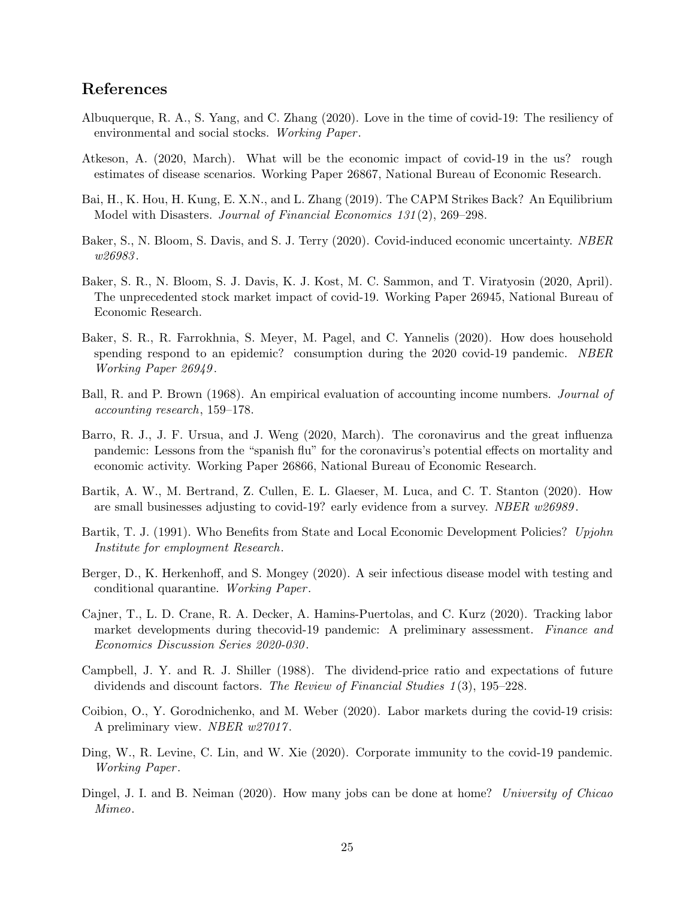# References

- <span id="page-26-1"></span>Albuquerque, R. A., S. Yang, and C. Zhang (2020). Love in the time of covid-19: The resiliency of environmental and social stocks. Working Paper.
- <span id="page-26-14"></span>Atkeson, A. (2020, March). What will be the economic impact of covid-19 in the us? rough estimates of disease scenarios. Working Paper 26867, National Bureau of Economic Research.
- <span id="page-26-8"></span>Bai, H., K. Hou, H. Kung, E. X.N., and L. Zhang (2019). The CAPM Strikes Back? An Equilibrium Model with Disasters. Journal of Financial Economics 131 (2), 269–298.
- <span id="page-26-10"></span>Baker, S., N. Bloom, S. Davis, and S. J. Terry (2020). Covid-induced economic uncertainty. NBER w26983.
- <span id="page-26-5"></span>Baker, S. R., N. Bloom, S. J. Davis, K. J. Kost, M. C. Sammon, and T. Viratyosin (2020, April). The unprecedented stock market impact of covid-19. Working Paper 26945, National Bureau of Economic Research.
- <span id="page-26-2"></span>Baker, S. R., R. Farrokhnia, S. Meyer, M. Pagel, and C. Yannelis (2020). How does household spending respond to an epidemic? consumption during the 2020 covid-19 pandemic. NBER Working Paper 26949 .
- <span id="page-26-4"></span>Ball, R. and P. Brown (1968). An empirical evaluation of accounting income numbers. *Journal of* accounting research, 159–178.
- <span id="page-26-9"></span>Barro, R. J., J. F. Ursua, and J. Weng (2020, March). The coronavirus and the great influenza pandemic: Lessons from the "spanish flu" for the coronavirus's potential effects on mortality and economic activity. Working Paper 26866, National Bureau of Economic Research.
- <span id="page-26-13"></span>Bartik, A. W., M. Bertrand, Z. Cullen, E. L. Glaeser, M. Luca, and C. T. Stanton (2020). How are small businesses adjusting to covid-19? early evidence from a survey. NBER  $w26989$ .
- <span id="page-26-0"></span>Bartik, T. J. (1991). Who Benefits from State and Local Economic Development Policies? Upjohn Institute for employment Research.
- <span id="page-26-7"></span>Berger, D., K. Herkenhoff, and S. Mongey (2020). A seir infectious disease model with testing and conditional quarantine. Working Paper.
- <span id="page-26-11"></span>Cajner, T., L. D. Crane, R. A. Decker, A. Hamins-Puertolas, and C. Kurz (2020). Tracking labor market developments during thecovid-19 pandemic: A preliminary assessment. Finance and Economics Discussion Series 2020-030 .
- <span id="page-26-3"></span>Campbell, J. Y. and R. J. Shiller (1988). The dividend-price ratio and expectations of future dividends and discount factors. The Review of Financial Studies 1 (3), 195–228.
- <span id="page-26-12"></span>Coibion, O., Y. Gorodnichenko, and M. Weber (2020). Labor markets during the covid-19 crisis: A preliminary view. NBER  $w27017$ .
- <span id="page-26-6"></span>Ding, W., R. Levine, C. Lin, and W. Xie (2020). Corporate immunity to the covid-19 pandemic. Working Paper .
- <span id="page-26-15"></span>Dingel, J. I. and B. Neiman (2020). How many jobs can be done at home? University of Chicao Mimeo.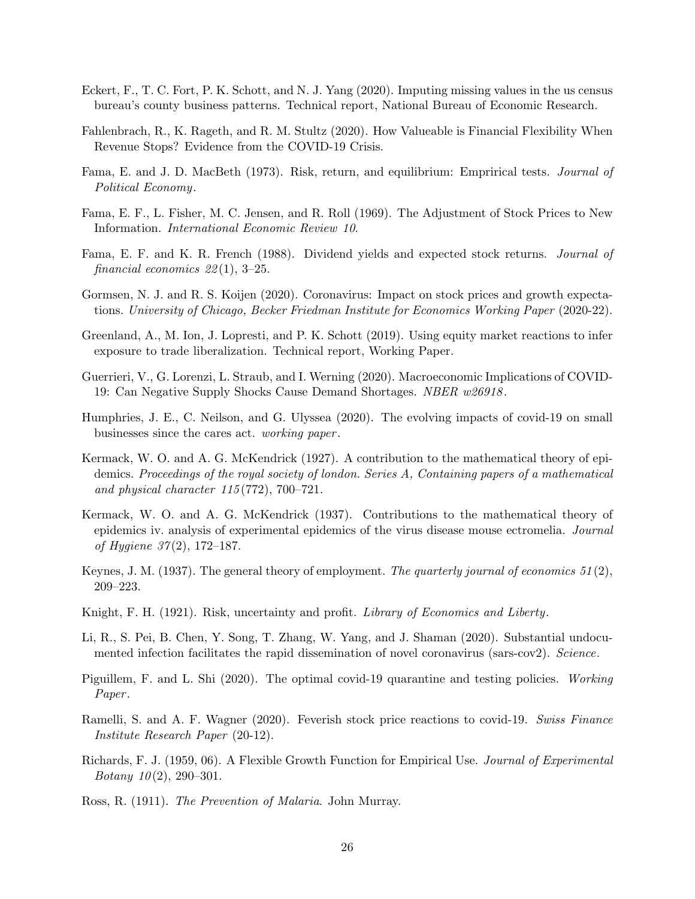- <span id="page-27-17"></span>Eckert, F., T. C. Fort, P. K. Schott, and N. J. Yang (2020). Imputing missing values in the us census bureau's county business patterns. Technical report, National Bureau of Economic Research.
- <span id="page-27-5"></span>Fahlenbrach, R., K. Rageth, and R. M. Stultz (2020). How Valueable is Financial Flexibility When Revenue Stops? Evidence from the COVID-19 Crisis.
- <span id="page-27-16"></span>Fama, E. and J. D. MacBeth (1973). Risk, return, and equilibrium: Emprirical tests. Journal of Political Economy.
- <span id="page-27-2"></span>Fama, E. F., L. Fisher, M. C. Jensen, and R. Roll (1969). The Adjustment of Stock Prices to New Information. International Economic Review 10.
- <span id="page-27-1"></span>Fama, E. F. and K. R. French (1988). Dividend yields and expected stock returns. Journal of financial economics  $22(1)$ , 3-25.
- <span id="page-27-9"></span>Gormsen, N. J. and R. S. Koijen (2020). Coronavirus: Impact on stock prices and growth expectations. University of Chicago, Becker Friedman Institute for Economics Working Paper (2020-22).
- <span id="page-27-4"></span>Greenland, A., M. Ion, J. Lopresti, and P. K. Schott (2019). Using equity market reactions to infer exposure to trade liberalization. Technical report, Working Paper.
- <span id="page-27-3"></span>Guerrieri, V., G. Lorenzi, L. Straub, and I. Werning (2020). Macroeconomic Implications of COVID-19: Can Negative Supply Shocks Cause Demand Shortages. NBER  $w26918$ .
- <span id="page-27-10"></span>Humphries, J. E., C. Neilson, and G. Ulyssea (2020). The evolving impacts of covid-19 on small businesses since the cares act. working paper .
- <span id="page-27-12"></span>Kermack, W. O. and A. G. McKendrick (1927). A contribution to the mathematical theory of epidemics. Proceedings of the royal society of london. Series A, Containing papers of a mathematical and physical character  $115(772)$ , 700–721.
- <span id="page-27-13"></span>Kermack, W. O. and A. G. McKendrick (1937). Contributions to the mathematical theory of epidemics iv. analysis of experimental epidemics of the virus disease mouse ectromelia. Journal of Hygiene  $37(2)$ , 172–187.
- <span id="page-27-8"></span>Keynes, J. M. (1937). The general theory of employment. The quarterly journal of economics  $51(2)$ , 209–223.
- <span id="page-27-7"></span>Knight, F. H. (1921). Risk, uncertainty and profit. Library of Economics and Liberty.
- <span id="page-27-15"></span>Li, R., S. Pei, B. Chen, Y. Song, T. Zhang, W. Yang, and J. Shaman (2020). Substantial undocumented infection facilitates the rapid dissemination of novel coronavirus (sars-cov2). Science.
- <span id="page-27-6"></span>Piguillem, F. and L. Shi (2020). The optimal covid-19 quarantine and testing policies. Working Paper.
- <span id="page-27-0"></span>Ramelli, S. and A. F. Wagner (2020). Feverish stock price reactions to covid-19. Swiss Finance Institute Research Paper (20-12).
- <span id="page-27-14"></span>Richards, F. J. (1959, 06). A Flexible Growth Function for Empirical Use. Journal of Experimental Botany  $10(2)$ , 290-301.
- <span id="page-27-11"></span>Ross, R. (1911). The Prevention of Malaria. John Murray.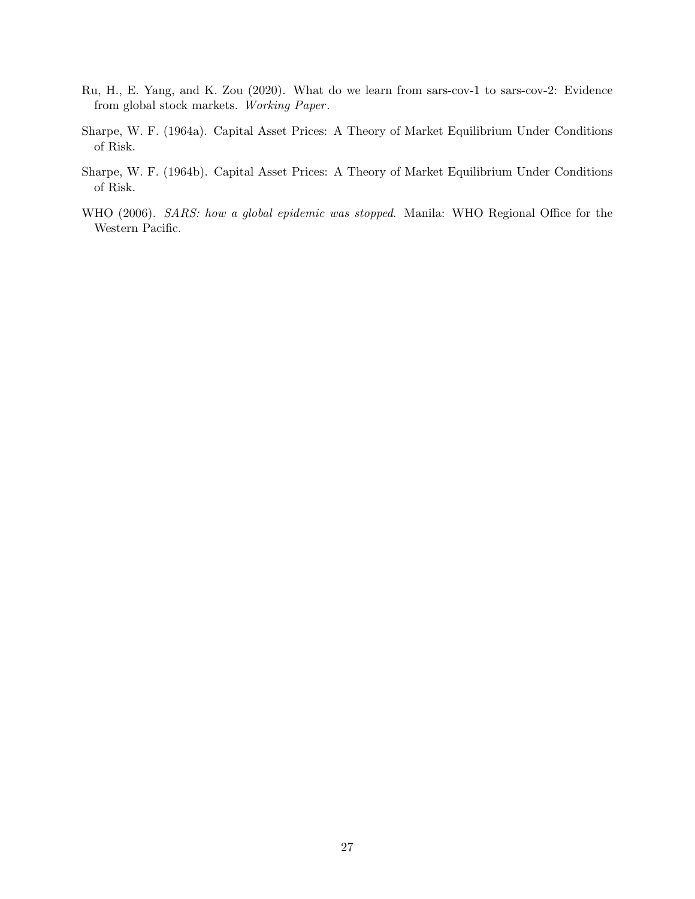- <span id="page-28-0"></span>Ru, H., E. Yang, and K. Zou (2020). What do we learn from sars-cov-1 to sars-cov-2: Evidence from global stock markets. Working Paper.
- <span id="page-28-1"></span>Sharpe, W. F. (1964a). Capital Asset Prices: A Theory of Market Equilibrium Under Conditions of Risk.
- <span id="page-28-2"></span>Sharpe, W. F. (1964b). Capital Asset Prices: A Theory of Market Equilibrium Under Conditions of Risk.
- <span id="page-28-3"></span>WHO (2006). SARS: how a global epidemic was stopped. Manila: WHO Regional Office for the Western Pacific.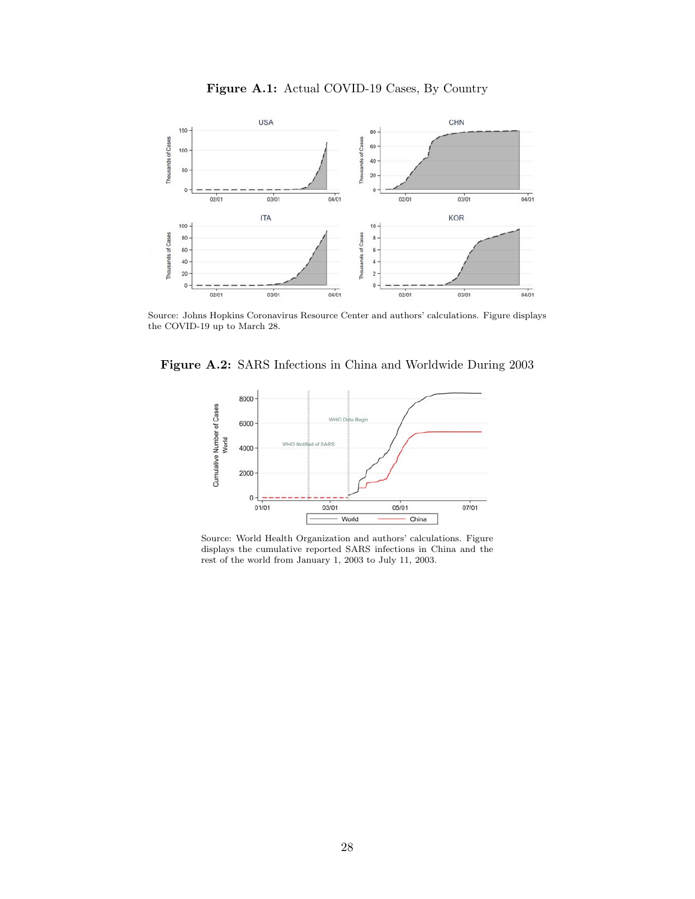<span id="page-29-0"></span>

Figure A.1: Actual COVID-19 Cases, By Country

Source: Johns Hopkins Coronavirus Resource Center and authors' calculations. Figure displays the COVID-19 up to March 28.

<span id="page-29-1"></span>Figure A.2: SARS Infections in China and Worldwide During 2003



Source: World Health Organization and authors' calculations. Figure displays the cumulative reported SARS infections in China and the rest of the world from January 1, 2003 to July 11, 2003.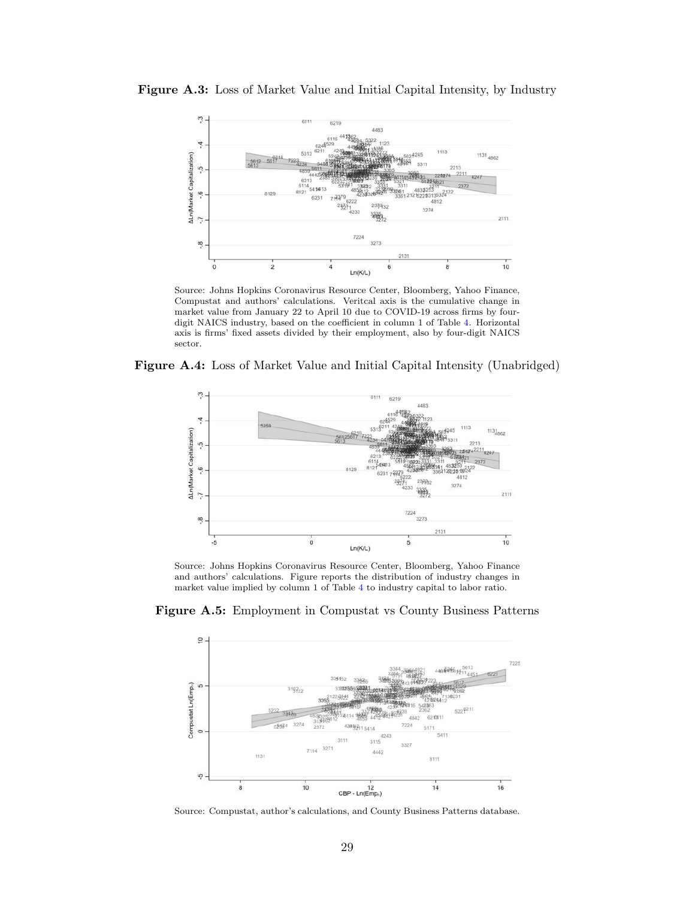Figure A.3: Loss of Market Value and Initial Capital Intensity, by Industry



Source: Johns Hopkins Coronavirus Resource Center, Bloomberg, Yahoo Finance, Compustat and authors' calculations. Veritcal axis is the cumulative change in market value from January 22 to April 10 due to COVID-19 across firms by fourdigit NAICS industry, based on the coefficient in column 1 of Table [4.](#page-17-2) Horizontal axis is firms' fixed assets divided by their employment, also by four-digit NAICS sector.

<span id="page-30-1"></span>Figure A.4: Loss of Market Value and Initial Capital Intensity (Unabridged)



Source: Johns Hopkins Coronavirus Resource Center, Bloomberg, Yahoo Finance and authors' calculations. Figure reports the distribution of industry changes in market value implied by column 1 of Table [4](#page-17-2) to industry capital to labor ratio.

<span id="page-30-0"></span>Figure A.5: Employment in Compustat vs County Business Patterns



Source: Compustat, author's calculations, and County Business Patterns database.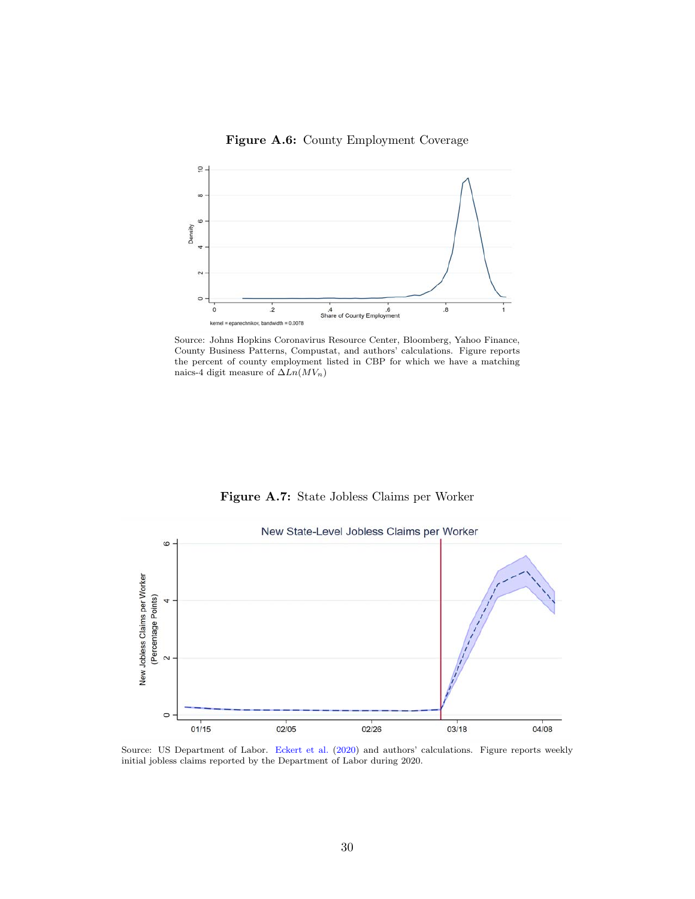### Figure A.6: County Employment Coverage

<span id="page-31-1"></span>

Source: Johns Hopkins Coronavirus Resource Center, Bloomberg, Yahoo Finance, County Business Patterns, Compustat, and authors' calculations. Figure reports the percent of county employment listed in CBP for which we have a matching naics-4 digit measure of  $\Delta Ln(MV_n)$ 

Figure A.7: State Jobless Claims per Worker

<span id="page-31-0"></span>

Source: US Department of Labor. [Eckert et al.](#page-27-17) [\(2020\)](#page-27-17) and authors' calculations. Figure reports weekly initial jobless claims reported by the Department of Labor during 2020.